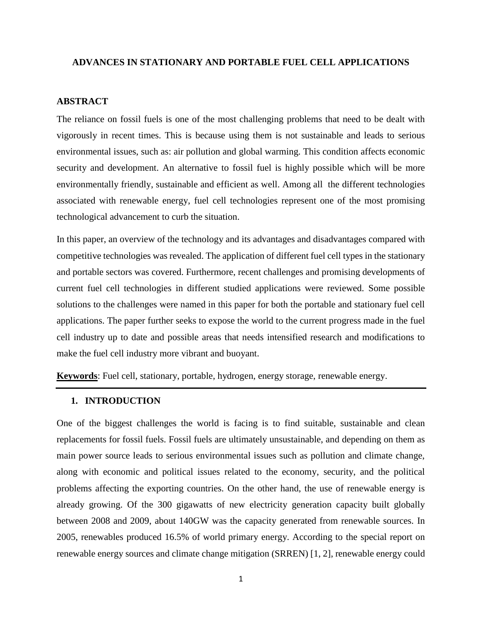#### **ADVANCES IN STATIONARY AND PORTABLE FUEL CELL APPLICATIONS**

#### **ABSTRACT**

The reliance on fossil fuels is one of the most challenging problems that need to be dealt with vigorously in recent times. This is because using them is not sustainable and leads to serious environmental issues, such as: air pollution and global warming. This condition affects economic security and development. An alternative to fossil fuel is highly possible which will be more environmentally friendly, sustainable and efficient as well. Among all the different technologies associated with renewable energy, fuel cell technologies represent one of the most promising technological advancement to curb the situation.

In this paper, an overview of the technology and its advantages and disadvantages compared with competitive technologies was revealed. The application of different fuel cell types in the stationary and portable sectors was covered. Furthermore, recent challenges and promising developments of current fuel cell technologies in different studied applications were reviewed. Some possible solutions to the challenges were named in this paper for both the portable and stationary fuel cell applications. The paper further seeks to expose the world to the current progress made in the fuel cell industry up to date and possible areas that needs intensified research and modifications to make the fuel cell industry more vibrant and buoyant.

**Keywords**: Fuel cell, stationary, portable, hydrogen, energy storage, renewable energy.

#### **1. INTRODUCTION**

One of the biggest challenges the world is facing is to find suitable, sustainable and clean replacements for fossil fuels. Fossil fuels are ultimately unsustainable, and depending on them as main power source leads to serious environmental issues such as pollution and climate change, along with economic and political issues related to the economy, security, and the political problems affecting the exporting countries. On the other hand, the use of renewable energy is already growing. Of the 300 gigawatts of new electricity generation capacity built globally between 2008 and 2009, about 140GW was the capacity generated from renewable sources. In 2005, renewables produced 16.5% of world primary energy. According to the special report on renewable energy sources and climate change mitigation (SRREN) [1, 2], renewable energy could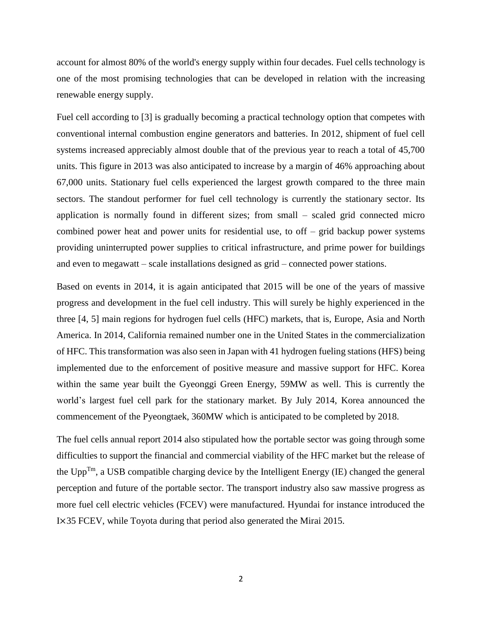account for almost 80% of the world's energy supply within four decades. Fuel cells technology is one of the most promising technologies that can be developed in relation with the increasing renewable energy supply.

Fuel cell according to [3] is gradually becoming a practical technology option that competes with conventional internal combustion engine generators and batteries. In 2012, shipment of fuel cell systems increased appreciably almost double that of the previous year to reach a total of 45,700 units. This figure in 2013 was also anticipated to increase by a margin of 46% approaching about 67,000 units. Stationary fuel cells experienced the largest growth compared to the three main sectors. The standout performer for fuel cell technology is currently the stationary sector. Its application is normally found in different sizes; from small – scaled grid connected micro combined power heat and power units for residential use, to off – grid backup power systems providing uninterrupted power supplies to critical infrastructure, and prime power for buildings and even to megawatt – scale installations designed as grid – connected power stations.

Based on events in 2014, it is again anticipated that 2015 will be one of the years of massive progress and development in the fuel cell industry. This will surely be highly experienced in the three [4, 5] main regions for hydrogen fuel cells (HFC) markets, that is, Europe, Asia and North America. In 2014, California remained number one in the United States in the commercialization of HFC. This transformation was also seen in Japan with 41 hydrogen fueling stations (HFS) being implemented due to the enforcement of positive measure and massive support for HFC. Korea within the same year built the Gyeonggi Green Energy, 59MW as well. This is currently the world's largest fuel cell park for the stationary market. By July 2014, Korea announced the commencement of the Pyeongtaek, 360MW which is anticipated to be completed by 2018.

The fuel cells annual report 2014 also stipulated how the portable sector was going through some difficulties to support the financial and commercial viability of the HFC market but the release of the  $Upp^{Tm}$ , a USB compatible charging device by the Intelligent Energy (IE) changed the general perception and future of the portable sector. The transport industry also saw massive progress as more fuel cell electric vehicles (FCEV) were manufactured. Hyundai for instance introduced the I×35 FCEV, while Toyota during that period also generated the Mirai 2015.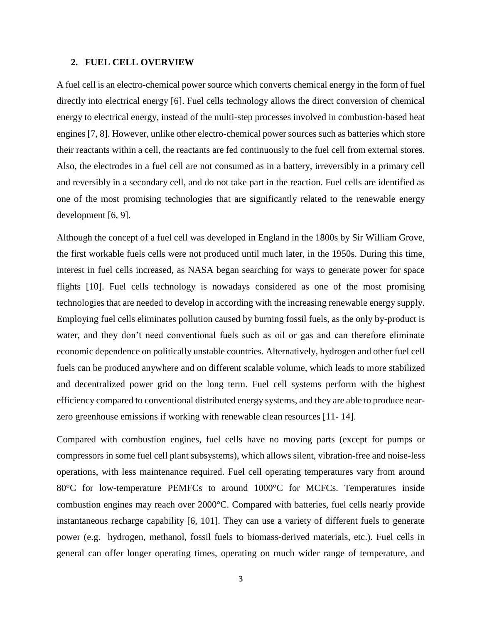#### **2. FUEL CELL OVERVIEW**

A fuel cell is an electro-chemical power source which converts chemical energy in the form of fuel directly into electrical energy [6]. Fuel cells technology allows the direct conversion of chemical energy to electrical energy, instead of the multi-step processes involved in combustion-based heat engines [7, 8]. However, unlike other electro-chemical power sources such as batteries which store their reactants within a cell, the reactants are fed continuously to the fuel cell from external stores. Also, the electrodes in a fuel cell are not consumed as in a battery, irreversibly in a primary cell and reversibly in a secondary cell, and do not take part in the reaction. Fuel cells are identified as one of the most promising technologies that are significantly related to the renewable energy development [6, 9].

Although the concept of a fuel cell was developed in England in the 1800s by Sir William Grove, the first workable fuels cells were not produced until much later, in the 1950s. During this time, interest in fuel cells increased, as NASA began searching for ways to generate power for space flights [10]. Fuel cells technology is nowadays considered as one of the most promising technologies that are needed to develop in according with the increasing renewable energy supply. Employing fuel cells eliminates pollution caused by burning fossil fuels, as the only by-product is water, and they don't need conventional fuels such as oil or gas and can therefore eliminate economic dependence on politically unstable countries. Alternatively, hydrogen and other fuel cell fuels can be produced anywhere and on different scalable volume, which leads to more stabilized and decentralized power grid on the long term. Fuel cell systems perform with the highest efficiency compared to conventional distributed energy systems, and they are able to produce nearzero greenhouse emissions if working with renewable clean resources [11- 14].

Compared with combustion engines, fuel cells have no moving parts (except for pumps or compressors in some fuel cell plant subsystems), which allows silent, vibration-free and noise-less operations, with less maintenance required. Fuel cell operating temperatures vary from around 80°C for low-temperature PEMFCs to around 1000°C for MCFCs. Temperatures inside combustion engines may reach over 2000°C. Compared with batteries, fuel cells nearly provide instantaneous recharge capability [6, 101]. They can use a variety of different fuels to generate power (e.g. hydrogen, methanol, fossil fuels to biomass-derived materials, etc.). Fuel cells in general can offer longer operating times, operating on much wider range of temperature, and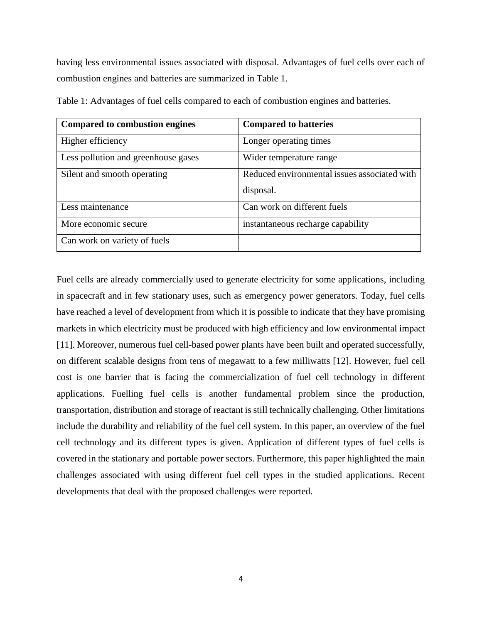having less environmental issues associated with disposal. Advantages of fuel cells over each of combustion engines and batteries are summarized in Table 1.

| <b>Compared to combustion engines</b> | <b>Compared to batteries</b>                 |
|---------------------------------------|----------------------------------------------|
| Higher efficiency                     | Longer operating times                       |
| Less pollution and greenhouse gases   | Wider temperature range                      |
| Silent and smooth operating           | Reduced environmental issues associated with |
|                                       | disposal.                                    |
| Less maintenance                      | Can work on different fuels                  |
| More economic secure                  | instantaneous recharge capability            |
| Can work on variety of fuels          |                                              |

Table 1: Advantages of fuel cells compared to each of combustion engines and batteries.

Fuel cells are already commercially used to generate electricity for some applications, including in spacecraft and in few stationary uses, such as emergency power generators. Today, fuel cells have reached a level of development from which it is possible to indicate that they have promising markets in which electricity must be produced with high efficiency and low environmental impact [11]. Moreover, numerous fuel cell-based power plants have been built and operated successfully, on different scalable designs from tens of megawatt to a few milliwatts [12]. However, fuel cell cost is one barrier that is facing the commercialization of fuel cell technology in different applications. Fuelling fuel cells is another fundamental problem since the production, transportation, distribution and storage of reactant is still technically challenging. Other limitations include the durability and reliability of the fuel cell system. In this paper, an overview of the fuel cell technology and its different types is given. Application of different types of fuel cells is covered in the stationary and portable power sectors. Furthermore, this paper highlighted the main challenges associated with using different fuel cell types in the studied applications. Recent developments that deal with the proposed challenges were reported.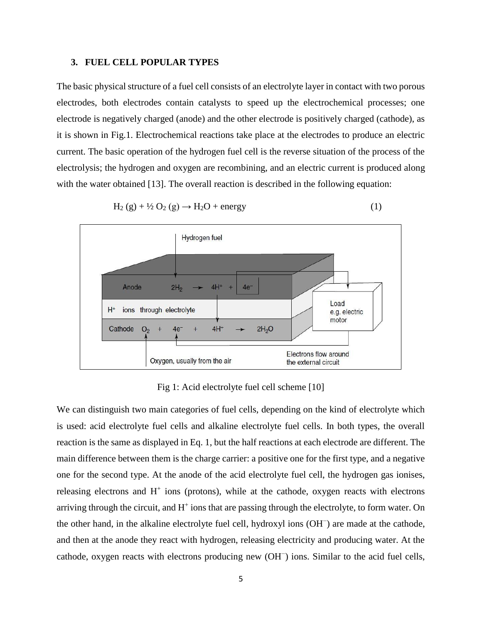#### **3. FUEL CELL POPULAR TYPES**

The basic physical structure of a fuel cell consists of an electrolyte layer in contact with two porous electrodes, both electrodes contain catalysts to speed up the electrochemical processes; one electrode is negatively charged (anode) and the other electrode is positively charged (cathode), as it is shown in Fig.1. Electrochemical reactions take place at the electrodes to produce an electric current. The basic operation of the hydrogen fuel cell is the reverse situation of the process of the electrolysis; the hydrogen and oxygen are recombining, and an electric current is produced along with the water obtained [13]. The overall reaction is described in the following equation:



$$
H_2(g) + \frac{1}{2}O_2(g) \rightarrow H_2O + energy \tag{1}
$$

Fig 1: Acid electrolyte fuel cell scheme [10]

We can distinguish two main categories of fuel cells, depending on the kind of electrolyte which is used: acid electrolyte fuel cells and alkaline electrolyte fuel cells. In both types, the overall reaction is the same as displayed in Eq. 1, but the half reactions at each electrode are different. The main difference between them is the charge carrier: a positive one for the first type, and a negative one for the second type. At the anode of the acid electrolyte fuel cell, the hydrogen gas ionises, releasing electrons and  $H^+$  ions (protons), while at the cathode, oxygen reacts with electrons arriving through the circuit, and H<sup>+</sup> ions that are passing through the electrolyte, to form water. On the other hand, in the alkaline electrolyte fuel cell, hydroxyl ions (OH<sup>−</sup> ) are made at the cathode, and then at the anode they react with hydrogen, releasing electricity and producing water. At the cathode, oxygen reacts with electrons producing new (OH<sup>−</sup> ) ions. Similar to the acid fuel cells,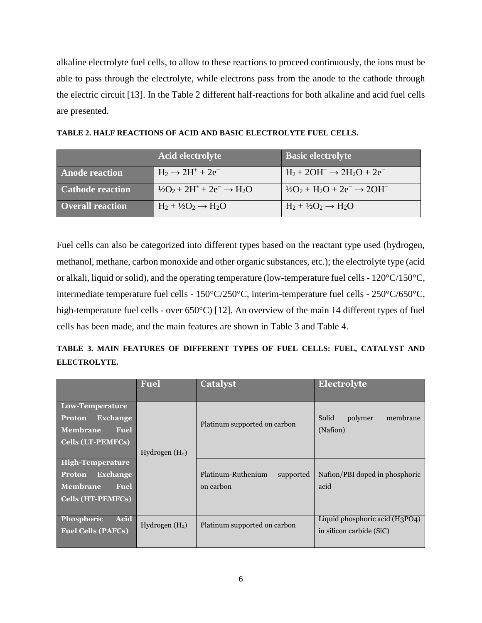alkaline electrolyte fuel cells, to allow to these reactions to proceed continuously, the ions must be able to pass through the electrolyte, while electrons pass from the anode to the cathode through the electric circuit [13]. In the Table 2 different half-reactions for both alkaline and acid fuel cells are presented.

|                         | <b>Acid electrolyte</b>                         | <b>Basic electrolyte</b>                         |
|-------------------------|-------------------------------------------------|--------------------------------------------------|
| <b>Anode reaction</b>   | $H_2 \rightarrow 2H^+ + 2e^-$                   | $H_2 + 2OH^- \rightarrow 2H_2O + 2e^-$           |
| <b>Cathode reaction</b> | $\frac{1}{2}O_2 + 2H^+ + 2e^- \rightarrow H_2O$ | $\frac{1}{2}O_2 + H_2O + 2e^- \rightarrow 2OH^-$ |
| <b>Overall reaction</b> | $H_2 + \frac{1}{2}O_2 \rightarrow H_2O$         | $H_2 + \frac{1}{2}O_2 \rightarrow H_2O$          |

Fuel cells can also be categorized into different types based on the reactant type used (hydrogen, methanol, methane, carbon monoxide and other organic substances, etc.); the electrolyte type (acid or alkali, liquid or solid), and the operating temperature (low-temperature fuel cells - 120°C/150°C, intermediate temperature fuel cells - 150°C/250°C, interim-temperature fuel cells - 250°C/650°C, high-temperature fuel cells - over 650°C) [12]. An overview of the main 14 different types of fuel cells has been made, and the main features are shown in Table 3 and Table 4.

|                     |  | TABLE 3. MAIN FEATURES OF DIFFERENT TYPES OF FUEL CELLS: FUEL, CATALYST AND |  |  |  |  |
|---------------------|--|-----------------------------------------------------------------------------|--|--|--|--|
| <b>ELECTROLYTE.</b> |  |                                                                             |  |  |  |  |

|                                                                                                                    | <b>Fuel</b>      | <b>Catalyst</b>                              | Electrolyte                                                |
|--------------------------------------------------------------------------------------------------------------------|------------------|----------------------------------------------|------------------------------------------------------------|
| Low-Temperature<br><b>Exchange</b><br>Proton<br>Membrane<br><b>Fuel</b><br><b>Cells (LT-PEMFCs)</b>                | Hydrogen $(H2)$  | Platinum supported on carbon                 | Solid<br>polymer<br>membrane<br>(Nafion)                   |
| <b>High-Temperature</b><br><b>Exchange</b><br>Proton<br><b>Membrane</b><br><b>Fuel</b><br><b>Cells (HT-PEMFCs)</b> |                  | Platinum-Ruthenium<br>supported<br>on carbon | Nafion/PBI doped in phosphoric<br>acid                     |
| Acid<br>Phosphoric<br><b>Fuel Cells (PAFCs)</b>                                                                    | Hydrogen $(H_2)$ | Platinum supported on carbon                 | Liquid phosphoric acid (H3PO4)<br>in silicon carbide (SiC) |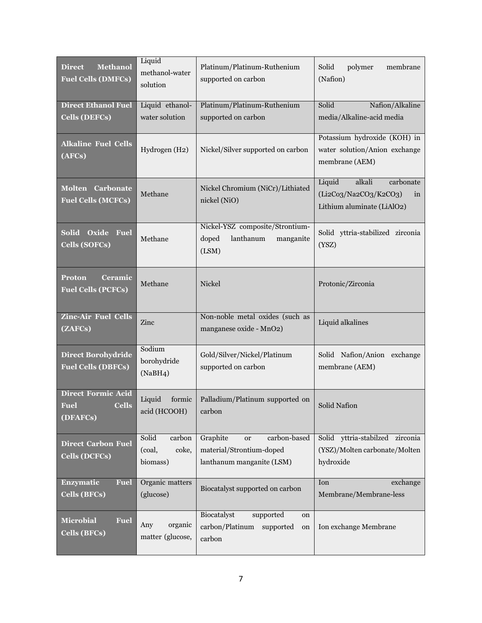| <b>Methanol</b><br><b>Direct</b><br><b>Fuel Cells (DMFCs)</b>        | Liquid<br>methanol-water<br>solution           | Platinum/Platinum-Ruthenium<br>supported on carbon                                             | Solid<br>polymer<br>membrane<br>(Nafion)                                                   |
|----------------------------------------------------------------------|------------------------------------------------|------------------------------------------------------------------------------------------------|--------------------------------------------------------------------------------------------|
| <b>Direct Ethanol Fuel</b>                                           | Liquid ethanol-                                | Platinum/Platinum-Ruthenium                                                                    | Nafion/Alkaline<br>Solid                                                                   |
| <b>Cells (DEFCs)</b>                                                 | water solution                                 | supported on carbon                                                                            | media/Alkaline-acid media                                                                  |
| <b>Alkaline Fuel Cells</b><br>(AFCs)                                 | Hydrogen (H2)                                  | Nickel/Silver supported on carbon                                                              | Potassium hydroxide (KOH) in<br>water solution/Anion exchange<br>membrane (AEM)            |
| <b>Molten Carbonate</b><br><b>Fuel Cells (MCFCs)</b>                 | Methane                                        | Nickel Chromium (NiCr)/Lithiated<br>nickel (NiO)                                               | alkali<br>carbonate<br>Liquid<br>(Li2Co3/Na2CO3/K2CO3)<br>in<br>Lithium aluminate (LiAlO2) |
| Solid Oxide Fuel<br><b>Cells (SOFCs)</b>                             | Methane                                        | Nickel-YSZ composite/Strontium-<br>lanthanum<br>doped<br>manganite<br>(LSM)                    | Solid yttria-stabilized zirconia<br>(YSZ)                                                  |
| <b>Proton</b><br><b>Ceramic</b><br><b>Fuel Cells (PCFCs)</b>         | Methane                                        | <b>Nickel</b>                                                                                  | Protonic/Zirconia                                                                          |
| <b>Zinc-Air Fuel Cells</b><br>(ZAFCs)                                | Zinc                                           | Non-noble metal oxides (such as<br>manganese oxide - MnO2)                                     | Liquid alkalines                                                                           |
| <b>Direct Borohydride</b><br><b>Fuel Cells (DBFCs)</b>               | Sodium<br>borohydride<br>(NaBH4)               | Gold/Silver/Nickel/Platinum<br>supported on carbon                                             | Solid Nafion/Anion exchange<br>membrane (AEM)                                              |
| <b>Direct Formic Acid</b><br><b>Cells</b><br><b>Fuel</b><br>(DFAFCs) | Liquid<br>formic<br>acid (HCOOH)               | Palladium/Platinum supported on<br>carbon                                                      | Solid Nafion                                                                               |
| <b>Direct Carbon Fuel</b><br><b>Cells (DCFCs)</b>                    | Solid<br>carbon<br>coke,<br>(coal,<br>biomass) | Graphite<br>carbon-based<br><b>or</b><br>material/Strontium-doped<br>lanthanum manganite (LSM) | Solid yttria-stabilzed zirconia<br>(YSZ)/Molten carbonate/Molten<br>hydroxide              |
| Enzymatic<br><b>Fuel</b><br><b>Cells (BFCs)</b>                      | Organic matters<br>(glucose)                   | Biocatalyst supported on carbon                                                                | Ion<br>exchange<br>Membrane/Membrane-less                                                  |
| <b>Microbial</b><br><b>Fuel</b><br><b>Cells (BFCs)</b>               | organic<br>Any<br>matter (glucose,             | Biocatalyst<br>supported<br>on<br>carbon/Platinum<br>supported<br>on<br>carbon                 | Ion exchange Membrane                                                                      |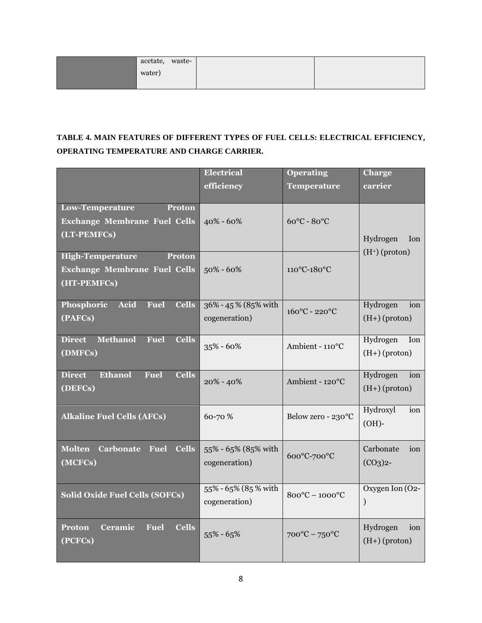| acetate, waste- |  |  |
|-----------------|--|--|
| water)          |  |  |
|                 |  |  |

# **TABLE 4. MAIN FEATURES OF DIFFERENT TYPES OF FUEL CELLS: ELECTRICAL EFFICIENCY, OPERATING TEMPERATURE AND CHARGE CARRIER.**

|                                                                 | <b>Electrical</b>    | <b>Operating</b>                   | <b>Charge</b>    |
|-----------------------------------------------------------------|----------------------|------------------------------------|------------------|
|                                                                 | efficiency           | <b>Temperature</b>                 | carrier          |
| <b>Low-Temperature</b><br>Proton                                |                      |                                    |                  |
| <b>Exchange Membrane Fuel Cells</b>                             | $40\% - 60\%$        | $60^{\circ}$ C - $80^{\circ}$ C    |                  |
| (LT-PEMFCs)                                                     |                      |                                    | Hydrogen<br>Ion  |
| <b>High-Temperature</b><br><b>Proton</b>                        |                      |                                    | $(H^+)$ (proton) |
| <b>Exchange Membrane Fuel Cells</b>                             | $50\% - 60\%$        | 110°C-180°C                        |                  |
| (HT-PEMFCs)                                                     |                      |                                    |                  |
| Acid<br>Phosphoric<br><b>Fuel</b><br><b>Cells</b>               | 36% - 45% (85% with  | $160^{\circ}$ C - 220 $^{\circ}$ C | Hydrogen<br>ion  |
| (PAFCs)                                                         | cogeneration)        |                                    | $(H+)$ (proton)  |
| <b>Methanol</b><br><b>Cells</b><br><b>Direct</b><br><b>Fuel</b> |                      | Ambient - 110°C                    | Hydrogen<br>Ion  |
| (DMFCs)                                                         | $35\% - 60\%$        |                                    | $(H+)$ (proton)  |
| <b>Ethanol</b><br><b>Cells</b><br><b>Direct</b><br><b>Fuel</b>  | $20\% - 40\%$        | Ambient - 120°C                    | Hydrogen<br>ion  |
| (DEFCs)                                                         |                      |                                    | $(H+)$ (proton)  |
| <b>Alkaline Fuel Cells (AFCs)</b>                               | 60-70 %              | Below zero - 230°C                 | Hydroxyl<br>ion  |
|                                                                 |                      |                                    | $(OH)$ -         |
| <b>Molten</b><br><b>Carbonate Fuel</b><br><b>Cells</b>          | 55% - 65% (85% with  |                                    | Carbonate<br>ion |
| (MCFCs)                                                         | cogeneration)        | 600°C-700°C                        | $(CO3)2$ -       |
|                                                                 |                      |                                    |                  |
| <b>Solid Oxide Fuel Cells (SOFCs)</b>                           | 55% - 65% (85 % with | $800^{\circ}$ C - $1000^{\circ}$ C | Oxygen Ion (O2-  |
|                                                                 | cogeneration)        |                                    | $\mathcal{E}$    |
| <b>Ceramic</b><br>Fuel<br><b>Cells</b><br><b>Proton</b>         |                      |                                    | Hydrogen<br>ion  |
| (PCFCs)                                                         | $55\% - 65\%$        | $700^{\circ}$ C – $750^{\circ}$ C  | $(H+)$ (proton)  |
|                                                                 |                      |                                    |                  |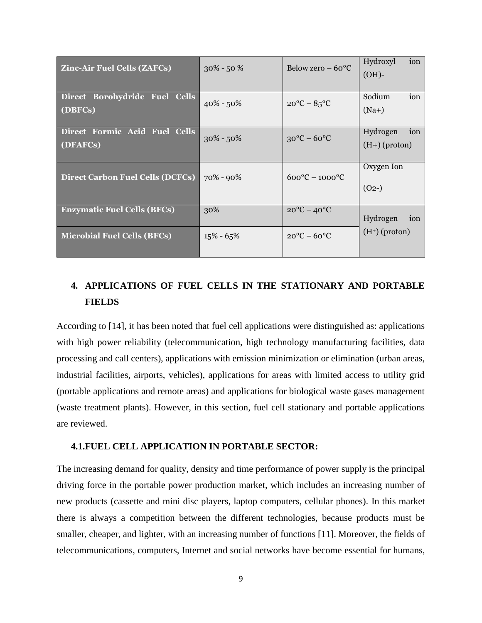| <b>Zinc-Air Fuel Cells (ZAFCs)</b>        | $30\% - 50\%$ | Below zero $-60^{\circ}$ C          | Hydroxyl<br>ion<br>$(OH)$ -        |
|-------------------------------------------|---------------|-------------------------------------|------------------------------------|
| Direct Borohydride Fuel Cells<br>(DBFCs)  | $40\% - 50\%$ | $20^{\circ}$ C – $85^{\circ}$ C     | Sodium<br>ion<br>$(Na+)$           |
| Direct Formic Acid Fuel Cells<br>(DFAFCs) | $30\% - 50\%$ | $30^{\circ}$ C – $60^{\circ}$ C     | Hydrogen<br>ion<br>$(H+)$ (proton) |
| Direct Carbon Fuel Cells (DCFCs)          | 70% - 90%     | $600^{\circ}$ C – 1000 $^{\circ}$ C | Oxygen Ion<br>$(02-)$              |
| <b>Enzymatic Fuel Cells (BFCs)</b>        | 30%           | $20^{\circ}$ C – $40^{\circ}$ C     | Hydrogen<br>ion                    |
| Microbial Fuel Cells (BFCs)               | $15\% - 65\%$ | $20^{\circ}$ C – $60^{\circ}$ C     | $(H^+)$ (proton)                   |

# **4. APPLICATIONS OF FUEL CELLS IN THE STATIONARY AND PORTABLE FIELDS**

According to [14], it has been noted that fuel cell applications were distinguished as: applications with high power reliability (telecommunication, high technology manufacturing facilities, data processing and call centers), applications with emission minimization or elimination (urban areas, industrial facilities, airports, vehicles), applications for areas with limited access to utility grid (portable applications and remote areas) and applications for biological waste gases management (waste treatment plants). However, in this section, fuel cell stationary and portable applications are reviewed.

## **4.1.FUEL CELL APPLICATION IN PORTABLE SECTOR:**

The increasing demand for quality, density and time performance of power supply is the principal driving force in the portable power production market, which includes an increasing number of new products (cassette and mini disc players, laptop computers, cellular phones). In this market there is always a competition between the different technologies, because products must be smaller, cheaper, and lighter, with an increasing number of functions [11]. Moreover, the fields of telecommunications, computers, Internet and social networks have become essential for humans,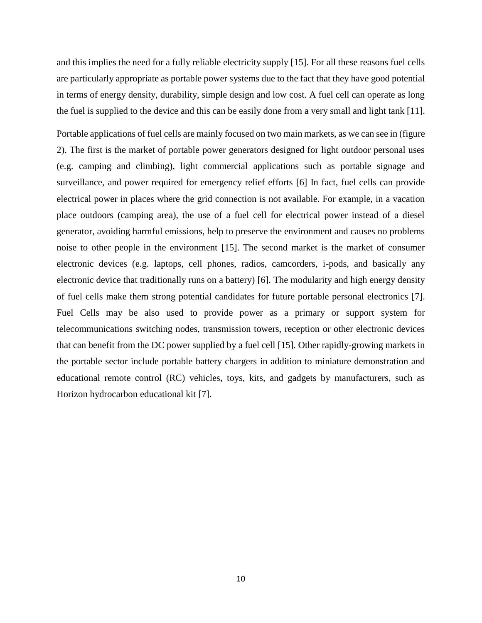and this implies the need for a fully reliable electricity supply [15]. For all these reasons fuel cells are particularly appropriate as portable power systems due to the fact that they have good potential in terms of energy density, durability, simple design and low cost. A fuel cell can operate as long the fuel is supplied to the device and this can be easily done from a very small and light tank [11].

Portable applications of fuel cells are mainly focused on two main markets, as we can see in (figure 2). The first is the market of portable power generators designed for light outdoor personal uses (e.g. camping and climbing), light commercial applications such as portable signage and surveillance, and power required for emergency relief efforts [6] In fact, fuel cells can provide electrical power in places where the grid connection is not available. For example, in a vacation place outdoors (camping area), the use of a fuel cell for electrical power instead of a diesel generator, avoiding harmful emissions, help to preserve the environment and causes no problems noise to other people in the environment [15]. The second market is the market of consumer electronic devices (e.g. laptops, cell phones, radios, camcorders, i-pods, and basically any electronic device that traditionally runs on a battery) [6]. The modularity and high energy density of fuel cells make them strong potential candidates for future portable personal electronics [7]. Fuel Cells may be also used to provide power as a primary or support system for telecommunications switching nodes, transmission towers, reception or other electronic devices that can benefit from the DC power supplied by a fuel cell [15]. Other rapidly-growing markets in the portable sector include portable battery chargers in addition to miniature demonstration and educational remote control (RC) vehicles, toys, kits, and gadgets by manufacturers, such as Horizon hydrocarbon educational kit [7].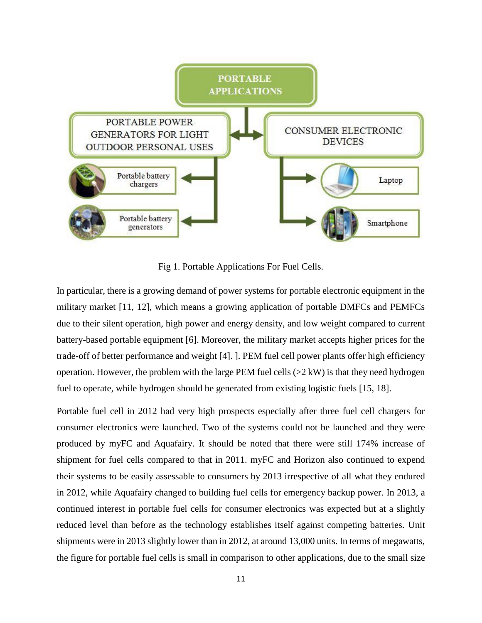

Fig 1. Portable Applications For Fuel Cells.

In particular, there is a growing demand of power systems for portable electronic equipment in the military market [11, 12], which means a growing application of portable DMFCs and PEMFCs due to their silent operation, high power and energy density, and low weight compared to current battery-based portable equipment [6]. Moreover, the military market accepts higher prices for the trade-off of better performance and weight [4]. ]. PEM fuel cell power plants offer high efficiency operation. However, the problem with the large PEM fuel cells  $(>2 \text{ kW})$  is that they need hydrogen fuel to operate, while hydrogen should be generated from existing logistic fuels [15, 18].

Portable fuel cell in 2012 had very high prospects especially after three fuel cell chargers for consumer electronics were launched. Two of the systems could not be launched and they were produced by myFC and Aquafairy. It should be noted that there were still 174% increase of shipment for fuel cells compared to that in 2011. myFC and Horizon also continued to expend their systems to be easily assessable to consumers by 2013 irrespective of all what they endured in 2012, while Aquafairy changed to building fuel cells for emergency backup power. In 2013, a continued interest in portable fuel cells for consumer electronics was expected but at a slightly reduced level than before as the technology establishes itself against competing batteries. Unit shipments were in 2013 slightly lower than in 2012, at around 13,000 units. In terms of megawatts, the figure for portable fuel cells is small in comparison to other applications, due to the small size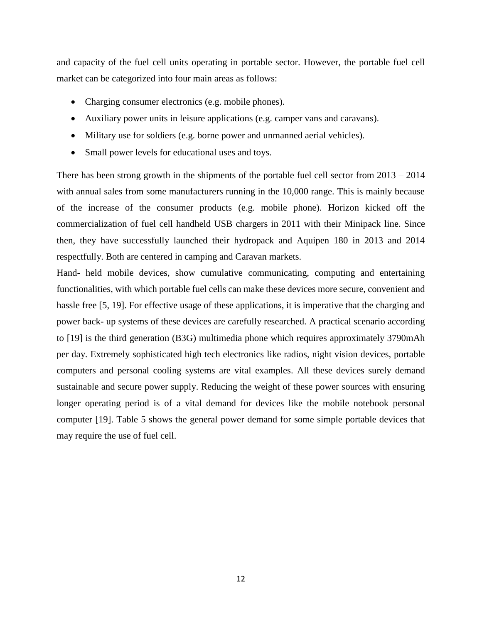and capacity of the fuel cell units operating in portable sector. However, the portable fuel cell market can be categorized into four main areas as follows:

- Charging consumer electronics (e.g. mobile phones).
- Auxiliary power units in leisure applications (e.g. camper vans and caravans).
- Military use for soldiers (e.g. borne power and unmanned aerial vehicles).
- Small power levels for educational uses and toys.

There has been strong growth in the shipments of the portable fuel cell sector from 2013 – 2014 with annual sales from some manufacturers running in the 10,000 range. This is mainly because of the increase of the consumer products (e.g. mobile phone). Horizon kicked off the commercialization of fuel cell handheld USB chargers in 2011 with their Minipack line. Since then, they have successfully launched their hydropack and Aquipen 180 in 2013 and 2014 respectfully. Both are centered in camping and Caravan markets.

Hand- held mobile devices, show cumulative communicating, computing and entertaining functionalities, with which portable fuel cells can make these devices more secure, convenient and hassle free [5, 19]. For effective usage of these applications, it is imperative that the charging and power back- up systems of these devices are carefully researched. A practical scenario according to [19] is the third generation (B3G) multimedia phone which requires approximately 3790mAh per day. Extremely sophisticated high tech electronics like radios, night vision devices, portable computers and personal cooling systems are vital examples. All these devices surely demand sustainable and secure power supply. Reducing the weight of these power sources with ensuring longer operating period is of a vital demand for devices like the mobile notebook personal computer [19]. Table 5 shows the general power demand for some simple portable devices that may require the use of fuel cell.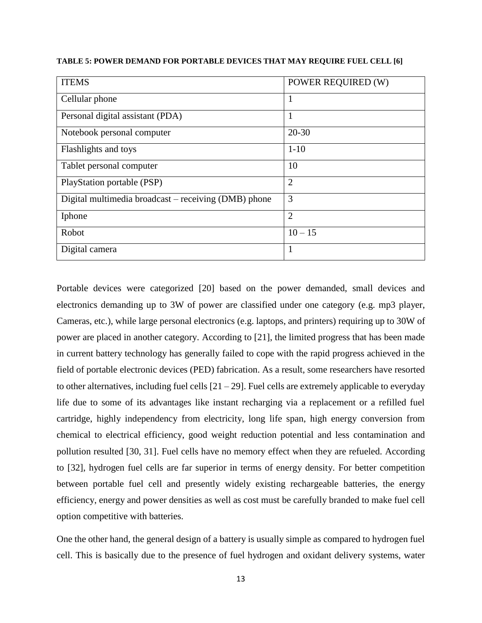| TABLE 5: POWER DEMAND FOR PORTABLE DEVICES THAT MAY REQUIRE FUEL CELL [6] |  |  |
|---------------------------------------------------------------------------|--|--|
|---------------------------------------------------------------------------|--|--|

| <b>ITEMS</b>                                         | POWER REQUIRED (W) |
|------------------------------------------------------|--------------------|
| Cellular phone                                       | $\mathbf{1}$       |
| Personal digital assistant (PDA)                     | 1                  |
| Notebook personal computer                           | $20 - 30$          |
| Flashlights and toys                                 | $1 - 10$           |
| Tablet personal computer                             | 10                 |
| PlayStation portable (PSP)                           | $\overline{2}$     |
| Digital multimedia broadcast - receiving (DMB) phone | 3                  |
| Iphone                                               | $\overline{2}$     |
| Robot                                                | $10 - 15$          |
| Digital camera                                       | $\mathbf{1}$       |

Portable devices were categorized [20] based on the power demanded, small devices and electronics demanding up to 3W of power are classified under one category (e.g. mp3 player, Cameras, etc.), while large personal electronics (e.g. laptops, and printers) requiring up to 30W of power are placed in another category. According to [21], the limited progress that has been made in current battery technology has generally failed to cope with the rapid progress achieved in the field of portable electronic devices (PED) fabrication. As a result, some researchers have resorted to other alternatives, including fuel cells  $[21 - 29]$ . Fuel cells are extremely applicable to everyday life due to some of its advantages like instant recharging via a replacement or a refilled fuel cartridge, highly independency from electricity, long life span, high energy conversion from chemical to electrical efficiency, good weight reduction potential and less contamination and pollution resulted [30, 31]. Fuel cells have no memory effect when they are refueled. According to [32], hydrogen fuel cells are far superior in terms of energy density. For better competition between portable fuel cell and presently widely existing rechargeable batteries, the energy efficiency, energy and power densities as well as cost must be carefully branded to make fuel cell option competitive with batteries.

One the other hand, the general design of a battery is usually simple as compared to hydrogen fuel cell. This is basically due to the presence of fuel hydrogen and oxidant delivery systems, water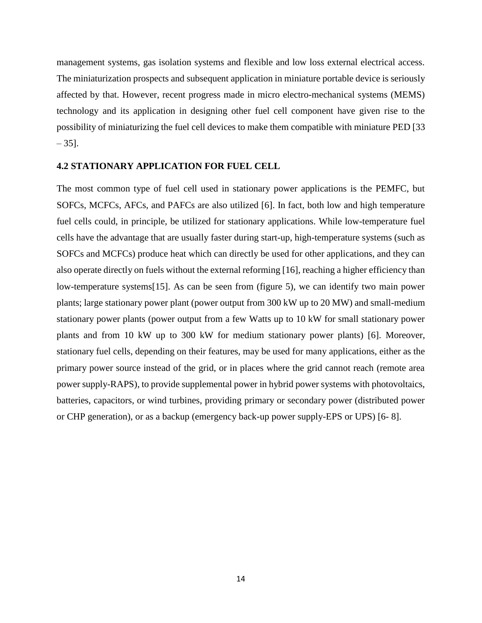management systems, gas isolation systems and flexible and low loss external electrical access. The miniaturization prospects and subsequent application in miniature portable device is seriously affected by that. However, recent progress made in micro electro-mechanical systems (MEMS) technology and its application in designing other fuel cell component have given rise to the possibility of miniaturizing the fuel cell devices to make them compatible with miniature PED [33  $-35$ ].

#### **4.2 STATIONARY APPLICATION FOR FUEL CELL**

The most common type of fuel cell used in stationary power applications is the PEMFC, but SOFCs, MCFCs, AFCs, and PAFCs are also utilized [6]. In fact, both low and high temperature fuel cells could, in principle, be utilized for stationary applications. While low-temperature fuel cells have the advantage that are usually faster during start-up, high-temperature systems (such as SOFCs and MCFCs) produce heat which can directly be used for other applications, and they can also operate directly on fuels without the external reforming [16], reaching a higher efficiency than low-temperature systems[15]. As can be seen from (figure 5), we can identify two main power plants; large stationary power plant (power output from 300 kW up to 20 MW) and small-medium stationary power plants (power output from a few Watts up to 10 kW for small stationary power plants and from 10 kW up to 300 kW for medium stationary power plants) [6]. Moreover, stationary fuel cells, depending on their features, may be used for many applications, either as the primary power source instead of the grid, or in places where the grid cannot reach (remote area power supply-RAPS), to provide supplemental power in hybrid power systems with photovoltaics, batteries, capacitors, or wind turbines, providing primary or secondary power (distributed power or CHP generation), or as a backup (emergency back-up power supply-EPS or UPS) [6- 8].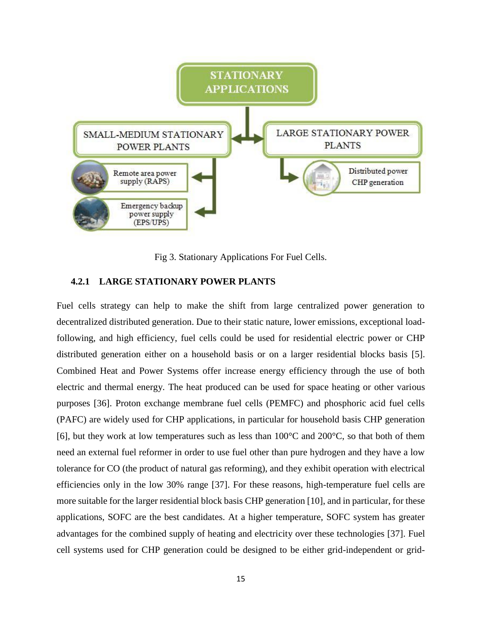

Fig 3. Stationary Applications For Fuel Cells.

## **4.2.1 LARGE STATIONARY POWER PLANTS**

Fuel cells strategy can help to make the shift from large centralized power generation to decentralized distributed generation. Due to their static nature, lower emissions, exceptional loadfollowing, and high efficiency, fuel cells could be used for residential electric power or CHP distributed generation either on a household basis or on a larger residential blocks basis [5]. Combined Heat and Power Systems offer increase energy efficiency through the use of both electric and thermal energy. The heat produced can be used for space heating or other various purposes [36]. Proton exchange membrane fuel cells (PEMFC) and phosphoric acid fuel cells (PAFC) are widely used for CHP applications, in particular for household basis CHP generation [6], but they work at low temperatures such as less than  $100^{\circ}$ C and  $200^{\circ}$ C, so that both of them need an external fuel reformer in order to use fuel other than pure hydrogen and they have a low tolerance for CO (the product of natural gas reforming), and they exhibit operation with electrical efficiencies only in the low 30% range [37]. For these reasons, high-temperature fuel cells are more suitable for the larger residential block basis CHP generation [10], and in particular, for these applications, SOFC are the best candidates. At a higher temperature, SOFC system has greater advantages for the combined supply of heating and electricity over these technologies [37]. Fuel cell systems used for CHP generation could be designed to be either grid-independent or grid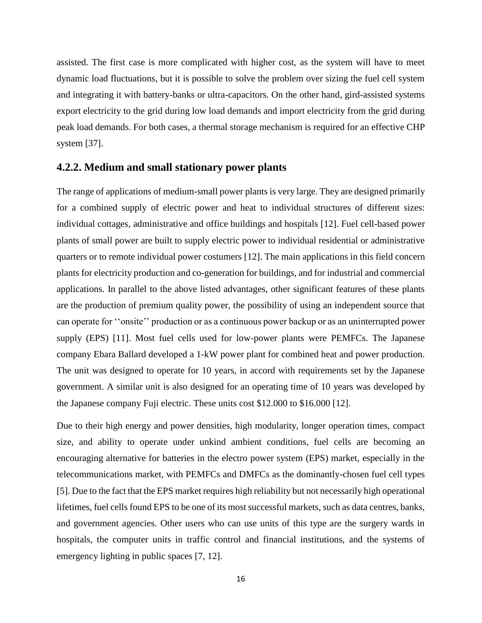assisted. The first case is more complicated with higher cost, as the system will have to meet dynamic load fluctuations, but it is possible to solve the problem over sizing the fuel cell system and integrating it with battery-banks or ultra-capacitors. On the other hand, gird-assisted systems export electricity to the grid during low load demands and import electricity from the grid during peak load demands. For both cases, a thermal storage mechanism is required for an effective CHP system [37].

## **4.2.2. Medium and small stationary power plants**

The range of applications of medium-small power plants is very large. They are designed primarily for a combined supply of electric power and heat to individual structures of different sizes: individual cottages, administrative and office buildings and hospitals [12]. Fuel cell-based power plants of small power are built to supply electric power to individual residential or administrative quarters or to remote individual power costumers [12]. The main applications in this field concern plants for electricity production and co-generation for buildings, and for industrial and commercial applications. In parallel to the above listed advantages, other significant features of these plants are the production of premium quality power, the possibility of using an independent source that can operate for ''onsite'' production or as a continuous power backup or as an uninterrupted power supply (EPS) [11]. Most fuel cells used for low-power plants were PEMFCs. The Japanese company Ebara Ballard developed a 1-kW power plant for combined heat and power production. The unit was designed to operate for 10 years, in accord with requirements set by the Japanese government. A similar unit is also designed for an operating time of 10 years was developed by the Japanese company Fuji electric. These units cost \$12.000 to \$16.000 [12].

Due to their high energy and power densities, high modularity, longer operation times, compact size, and ability to operate under unkind ambient conditions, fuel cells are becoming an encouraging alternative for batteries in the electro power system (EPS) market, especially in the telecommunications market, with PEMFCs and DMFCs as the dominantly-chosen fuel cell types [5]. Due to the fact that the EPS market requires high reliability but not necessarily high operational lifetimes, fuel cells found EPS to be one of its most successful markets, such as data centres, banks, and government agencies. Other users who can use units of this type are the surgery wards in hospitals, the computer units in traffic control and financial institutions, and the systems of emergency lighting in public spaces [7, 12].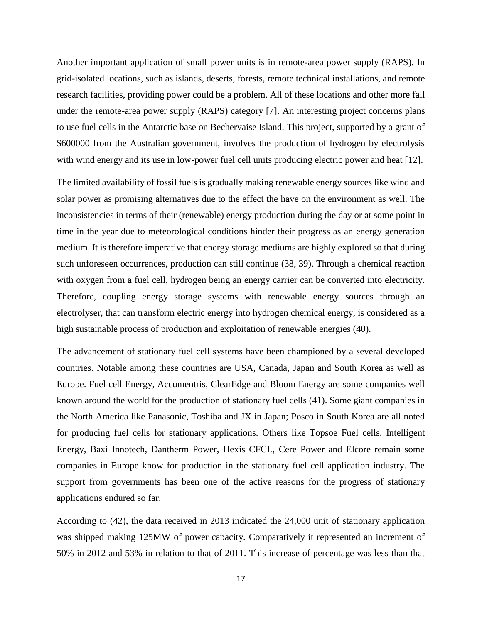Another important application of small power units is in remote-area power supply (RAPS). In grid-isolated locations, such as islands, deserts, forests, remote technical installations, and remote research facilities, providing power could be a problem. All of these locations and other more fall under the remote-area power supply (RAPS) category [7]. An interesting project concerns plans to use fuel cells in the Antarctic base on Bechervaise Island. This project, supported by a grant of \$600000 from the Australian government, involves the production of hydrogen by electrolysis with wind energy and its use in low-power fuel cell units producing electric power and heat [12].

The limited availability of fossil fuels is gradually making renewable energy sources like wind and solar power as promising alternatives due to the effect the have on the environment as well. The inconsistencies in terms of their (renewable) energy production during the day or at some point in time in the year due to meteorological conditions hinder their progress as an energy generation medium. It is therefore imperative that energy storage mediums are highly explored so that during such unforeseen occurrences, production can still continue (38, 39). Through a chemical reaction with oxygen from a fuel cell, hydrogen being an energy carrier can be converted into electricity. Therefore, coupling energy storage systems with renewable energy sources through an electrolyser, that can transform electric energy into hydrogen chemical energy, is considered as a high sustainable process of production and exploitation of renewable energies (40).

The advancement of stationary fuel cell systems have been championed by a several developed countries. Notable among these countries are USA, Canada, Japan and South Korea as well as Europe. Fuel cell Energy, Accumentris, ClearEdge and Bloom Energy are some companies well known around the world for the production of stationary fuel cells (41). Some giant companies in the North America like Panasonic, Toshiba and JX in Japan; Posco in South Korea are all noted for producing fuel cells for stationary applications. Others like Topsoe Fuel cells, Intelligent Energy, Baxi Innotech, Dantherm Power, Hexis CFCL, Cere Power and Elcore remain some companies in Europe know for production in the stationary fuel cell application industry. The support from governments has been one of the active reasons for the progress of stationary applications endured so far.

According to (42), the data received in 2013 indicated the 24,000 unit of stationary application was shipped making 125MW of power capacity. Comparatively it represented an increment of 50% in 2012 and 53% in relation to that of 2011. This increase of percentage was less than that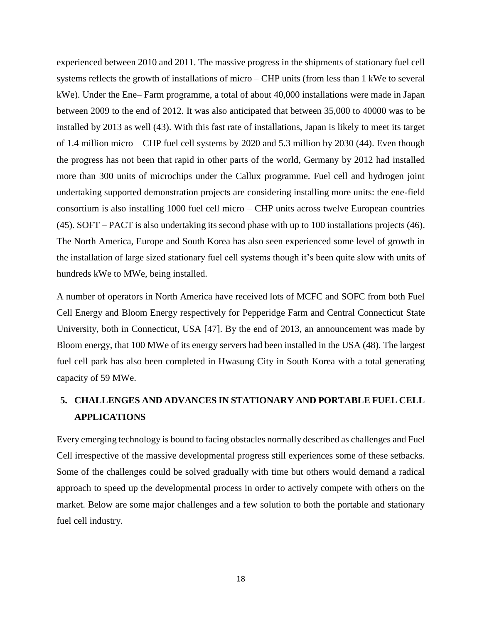experienced between 2010 and 2011. The massive progress in the shipments of stationary fuel cell systems reflects the growth of installations of micro – CHP units (from less than 1 kWe to several kWe). Under the Ene– Farm programme, a total of about 40,000 installations were made in Japan between 2009 to the end of 2012. It was also anticipated that between 35,000 to 40000 was to be installed by 2013 as well (43). With this fast rate of installations, Japan is likely to meet its target of 1.4 million micro – CHP fuel cell systems by 2020 and 5.3 million by 2030 (44). Even though the progress has not been that rapid in other parts of the world, Germany by 2012 had installed more than 300 units of microchips under the Callux programme. Fuel cell and hydrogen joint undertaking supported demonstration projects are considering installing more units: the ene-field consortium is also installing 1000 fuel cell micro – CHP units across twelve European countries (45). SOFT – PACT is also undertaking its second phase with up to 100 installations projects (46). The North America, Europe and South Korea has also seen experienced some level of growth in the installation of large sized stationary fuel cell systems though it's been quite slow with units of hundreds kWe to MWe, being installed.

A number of operators in North America have received lots of MCFC and SOFC from both Fuel Cell Energy and Bloom Energy respectively for Pepperidge Farm and Central Connecticut State University, both in Connecticut, USA [47]. By the end of 2013, an announcement was made by Bloom energy, that 100 MWe of its energy servers had been installed in the USA (48). The largest fuel cell park has also been completed in Hwasung City in South Korea with a total generating capacity of 59 MWe.

# **5. CHALLENGES AND ADVANCES IN STATIONARY AND PORTABLE FUEL CELL APPLICATIONS**

Every emerging technology is bound to facing obstacles normally described as challenges and Fuel Cell irrespective of the massive developmental progress still experiences some of these setbacks. Some of the challenges could be solved gradually with time but others would demand a radical approach to speed up the developmental process in order to actively compete with others on the market. Below are some major challenges and a few solution to both the portable and stationary fuel cell industry.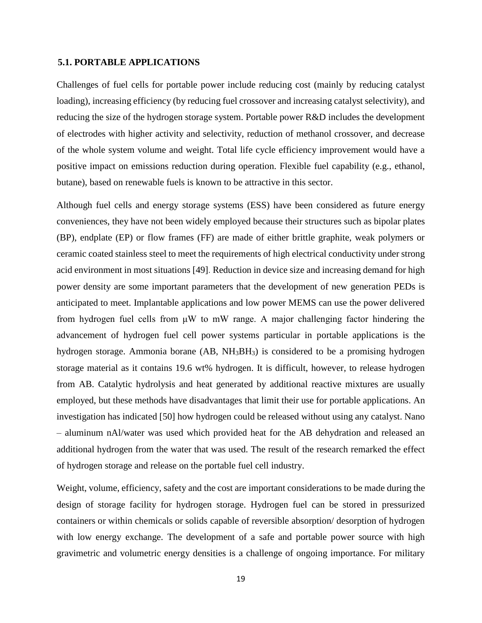#### **5.1. PORTABLE APPLICATIONS**

Challenges of fuel cells for portable power include reducing cost (mainly by reducing catalyst loading), increasing efficiency (by reducing fuel crossover and increasing catalyst selectivity), and reducing the size of the hydrogen storage system. Portable power R&D includes the development of electrodes with higher activity and selectivity, reduction of methanol crossover, and decrease of the whole system volume and weight. Total life cycle efficiency improvement would have a positive impact on emissions reduction during operation. Flexible fuel capability (e.g., ethanol, butane), based on renewable fuels is known to be attractive in this sector.

Although fuel cells and energy storage systems (ESS) have been considered as future energy conveniences, they have not been widely employed because their structures such as bipolar plates (BP), endplate (EP) or flow frames (FF) are made of either brittle graphite, weak polymers or ceramic coated stainless steel to meet the requirements of high electrical conductivity under strong acid environment in most situations [49]. Reduction in device size and increasing demand for high power density are some important parameters that the development of new generation PEDs is anticipated to meet. Implantable applications and low power MEMS can use the power delivered from hydrogen fuel cells from μW to mW range. A major challenging factor hindering the advancement of hydrogen fuel cell power systems particular in portable applications is the hydrogen storage. Ammonia borane (AB, NH<sub>3</sub>BH<sub>3</sub>) is considered to be a promising hydrogen storage material as it contains 19.6 wt% hydrogen. It is difficult, however, to release hydrogen from AB. Catalytic hydrolysis and heat generated by additional reactive mixtures are usually employed, but these methods have disadvantages that limit their use for portable applications. An investigation has indicated [50] how hydrogen could be released without using any catalyst. Nano – aluminum nAl/water was used which provided heat for the AB dehydration and released an additional hydrogen from the water that was used. The result of the research remarked the effect of hydrogen storage and release on the portable fuel cell industry.

Weight, volume, efficiency, safety and the cost are important considerations to be made during the design of storage facility for hydrogen storage. Hydrogen fuel can be stored in pressurized containers or within chemicals or solids capable of reversible absorption/ desorption of hydrogen with low energy exchange. The development of a safe and portable power source with high gravimetric and volumetric energy densities is a challenge of ongoing importance. For military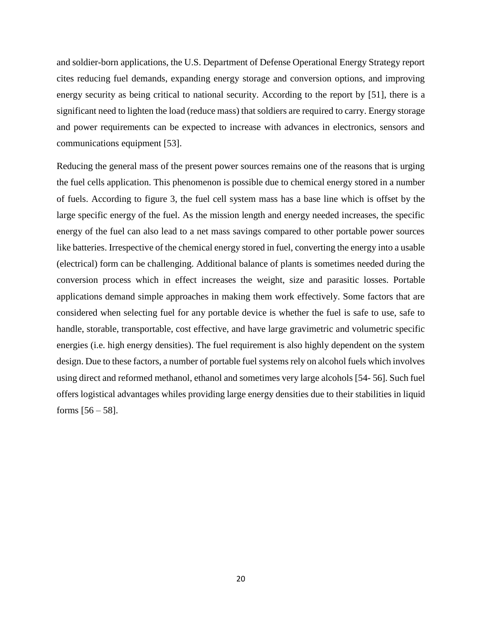and soldier-born applications, the U.S. Department of Defense Operational Energy Strategy report cites reducing fuel demands, expanding energy storage and conversion options, and improving energy security as being critical to national security. According to the report by [51], there is a significant need to lighten the load (reduce mass) that soldiers are required to carry. Energy storage and power requirements can be expected to increase with advances in electronics, sensors and communications equipment [53].

Reducing the general mass of the present power sources remains one of the reasons that is urging the fuel cells application. This phenomenon is possible due to chemical energy stored in a number of fuels. According to figure 3, the fuel cell system mass has a base line which is offset by the large specific energy of the fuel. As the mission length and energy needed increases, the specific energy of the fuel can also lead to a net mass savings compared to other portable power sources like batteries. Irrespective of the chemical energy stored in fuel, converting the energy into a usable (electrical) form can be challenging. Additional balance of plants is sometimes needed during the conversion process which in effect increases the weight, size and parasitic losses. Portable applications demand simple approaches in making them work effectively. Some factors that are considered when selecting fuel for any portable device is whether the fuel is safe to use, safe to handle, storable, transportable, cost effective, and have large gravimetric and volumetric specific energies (i.e. high energy densities). The fuel requirement is also highly dependent on the system design. Due to these factors, a number of portable fuel systems rely on alcohol fuels which involves using direct and reformed methanol, ethanol and sometimes very large alcohols [54- 56]. Such fuel offers logistical advantages whiles providing large energy densities due to their stabilities in liquid forms  $[56 - 58]$ .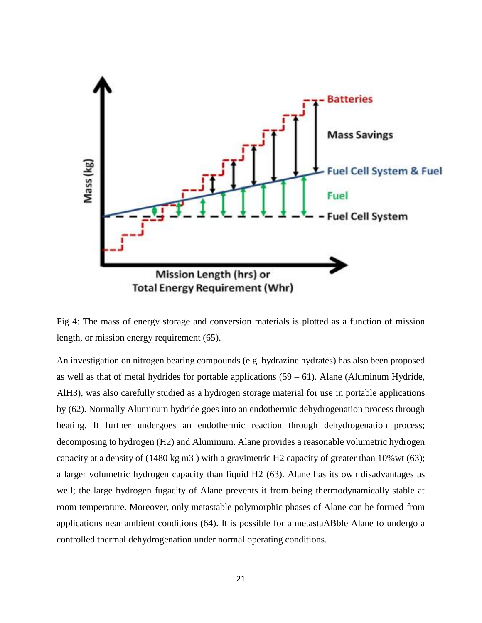

Fig 4: The mass of energy storage and conversion materials is plotted as a function of mission length, or mission energy requirement (65).

An investigation on nitrogen bearing compounds (e.g. hydrazine hydrates) has also been proposed as well as that of metal hydrides for portable applications  $(59 - 61)$ . Alane (Aluminum Hydride, AlH3), was also carefully studied as a hydrogen storage material for use in portable applications by (62). Normally Aluminum hydride goes into an endothermic dehydrogenation process through heating. It further undergoes an endothermic reaction through dehydrogenation process; decomposing to hydrogen (H2) and Aluminum. Alane provides a reasonable volumetric hydrogen capacity at a density of (1480 kg m3 ) with a gravimetric H2 capacity of greater than 10%wt (63); a larger volumetric hydrogen capacity than liquid H2 (63). Alane has its own disadvantages as well; the large hydrogen fugacity of Alane prevents it from being thermodynamically stable at room temperature. Moreover, only metastable polymorphic phases of Alane can be formed from applications near ambient conditions (64). It is possible for a metastaABble Alane to undergo a controlled thermal dehydrogenation under normal operating conditions.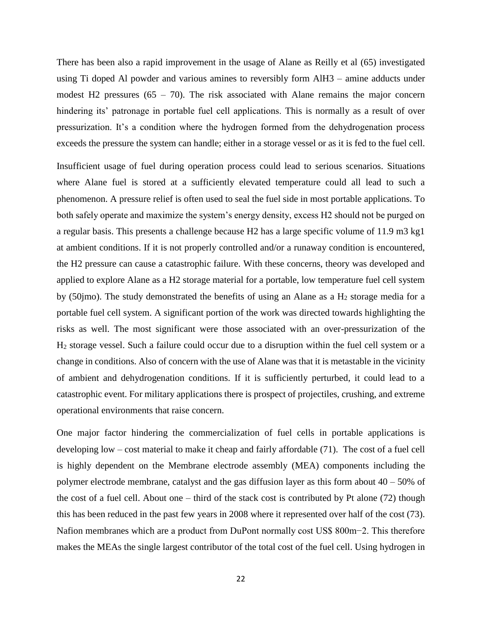There has been also a rapid improvement in the usage of Alane as Reilly et al (65) investigated using Ti doped Al powder and various amines to reversibly form AlH3 – amine adducts under modest H2 pressures  $(65 - 70)$ . The risk associated with Alane remains the major concern hindering its' patronage in portable fuel cell applications. This is normally as a result of over pressurization. It's a condition where the hydrogen formed from the dehydrogenation process exceeds the pressure the system can handle; either in a storage vessel or as it is fed to the fuel cell.

Insufficient usage of fuel during operation process could lead to serious scenarios. Situations where Alane fuel is stored at a sufficiently elevated temperature could all lead to such a phenomenon. A pressure relief is often used to seal the fuel side in most portable applications. To both safely operate and maximize the system's energy density, excess H2 should not be purged on a regular basis. This presents a challenge because H2 has a large specific volume of 11.9 m3 kg1 at ambient conditions. If it is not properly controlled and/or a runaway condition is encountered, the H2 pressure can cause a catastrophic failure. With these concerns, theory was developed and applied to explore Alane as a H2 storage material for a portable, low temperature fuel cell system by (50jmo). The study demonstrated the benefits of using an Alane as a  $H_2$  storage media for a portable fuel cell system. A significant portion of the work was directed towards highlighting the risks as well. The most significant were those associated with an over-pressurization of the H<sup>2</sup> storage vessel. Such a failure could occur due to a disruption within the fuel cell system or a change in conditions. Also of concern with the use of Alane was that it is metastable in the vicinity of ambient and dehydrogenation conditions. If it is sufficiently perturbed, it could lead to a catastrophic event. For military applications there is prospect of projectiles, crushing, and extreme operational environments that raise concern.

One major factor hindering the commercialization of fuel cells in portable applications is developing low – cost material to make it cheap and fairly affordable (71). The cost of a fuel cell is highly dependent on the Membrane electrode assembly (MEA) components including the polymer electrode membrane, catalyst and the gas diffusion layer as this form about  $40 - 50\%$  of the cost of a fuel cell. About one – third of the stack cost is contributed by Pt alone (72) though this has been reduced in the past few years in 2008 where it represented over half of the cost (73). Nafion membranes which are a product from DuPont normally cost US\$ 800m−2. This therefore makes the MEAs the single largest contributor of the total cost of the fuel cell. Using hydrogen in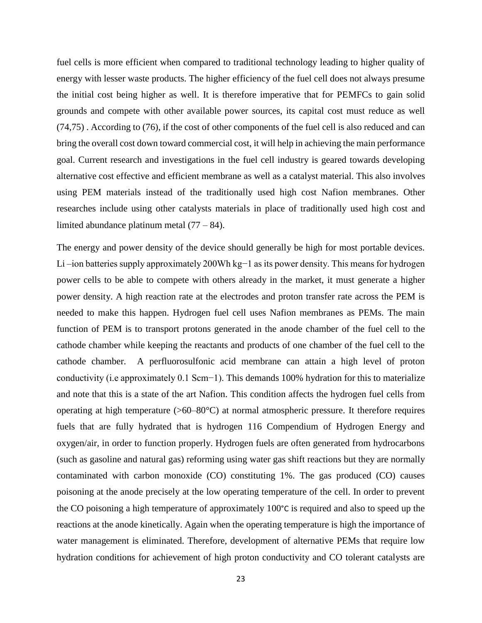fuel cells is more efficient when compared to traditional technology leading to higher quality of energy with lesser waste products. The higher efficiency of the fuel cell does not always presume the initial cost being higher as well. It is therefore imperative that for PEMFCs to gain solid grounds and compete with other available power sources, its capital cost must reduce as well (74,75) . According to (76), if the cost of other components of the fuel cell is also reduced and can bring the overall cost down toward commercial cost, it will help in achieving the main performance goal. Current research and investigations in the fuel cell industry is geared towards developing alternative cost effective and efficient membrane as well as a catalyst material. This also involves using PEM materials instead of the traditionally used high cost Nafion membranes. Other researches include using other catalysts materials in place of traditionally used high cost and limited abundance platinum metal (77 – 84).

The energy and power density of the device should generally be high for most portable devices. Li –ion batteries supply approximately 200Wh kg−1 as its power density. This means for hydrogen power cells to be able to compete with others already in the market, it must generate a higher power density. A high reaction rate at the electrodes and proton transfer rate across the PEM is needed to make this happen. Hydrogen fuel cell uses Nafion membranes as PEMs. The main function of PEM is to transport protons generated in the anode chamber of the fuel cell to the cathode chamber while keeping the reactants and products of one chamber of the fuel cell to the cathode chamber. A perfluorosulfonic acid membrane can attain a high level of proton conductivity (i.e approximately 0.1 Scm−1). This demands 100% hydration for this to materialize and note that this is a state of the art Nafion. This condition affects the hydrogen fuel cells from operating at high temperature (>60–80°C) at normal atmospheric pressure. It therefore requires fuels that are fully hydrated that is hydrogen 116 Compendium of Hydrogen Energy and oxygen/air, in order to function properly. Hydrogen fuels are often generated from hydrocarbons (such as gasoline and natural gas) reforming using water gas shift reactions but they are normally contaminated with carbon monoxide (CO) constituting 1%. The gas produced (CO) causes poisoning at the anode precisely at the low operating temperature of the cell. In order to prevent the CO poisoning a high temperature of approximately 100°C is required and also to speed up the reactions at the anode kinetically. Again when the operating temperature is high the importance of water management is eliminated. Therefore, development of alternative PEMs that require low hydration conditions for achievement of high proton conductivity and CO tolerant catalysts are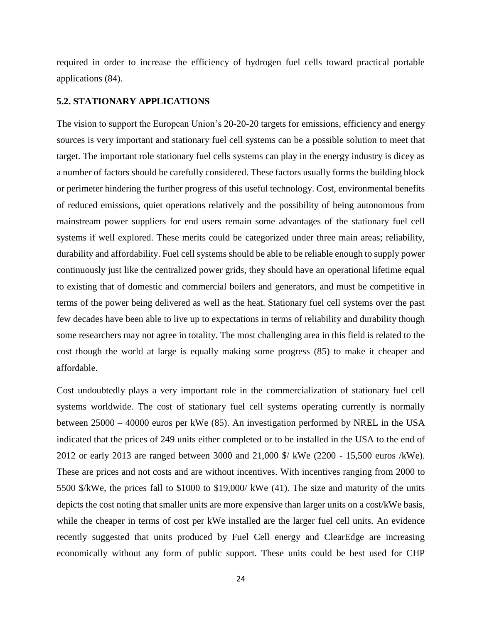required in order to increase the efficiency of hydrogen fuel cells toward practical portable applications (84).

#### **5.2. STATIONARY APPLICATIONS**

The vision to support the European Union's 20-20-20 targets for emissions, efficiency and energy sources is very important and stationary fuel cell systems can be a possible solution to meet that target. The important role stationary fuel cells systems can play in the energy industry is dicey as a number of factors should be carefully considered. These factors usually forms the building block or perimeter hindering the further progress of this useful technology. Cost, environmental benefits of reduced emissions, quiet operations relatively and the possibility of being autonomous from mainstream power suppliers for end users remain some advantages of the stationary fuel cell systems if well explored. These merits could be categorized under three main areas; reliability, durability and affordability. Fuel cell systems should be able to be reliable enough to supply power continuously just like the centralized power grids, they should have an operational lifetime equal to existing that of domestic and commercial boilers and generators, and must be competitive in terms of the power being delivered as well as the heat. Stationary fuel cell systems over the past few decades have been able to live up to expectations in terms of reliability and durability though some researchers may not agree in totality. The most challenging area in this field is related to the cost though the world at large is equally making some progress (85) to make it cheaper and affordable.

Cost undoubtedly plays a very important role in the commercialization of stationary fuel cell systems worldwide. The cost of stationary fuel cell systems operating currently is normally between 25000 – 40000 euros per kWe (85). An investigation performed by NREL in the USA indicated that the prices of 249 units either completed or to be installed in the USA to the end of 2012 or early 2013 are ranged between 3000 and 21,000 \$/ kWe (2200 - 15,500 euros /kWe). These are prices and not costs and are without incentives. With incentives ranging from 2000 to 5500 \$/kWe, the prices fall to \$1000 to \$19,000/ kWe (41). The size and maturity of the units depicts the cost noting that smaller units are more expensive than larger units on a cost/kWe basis, while the cheaper in terms of cost per kWe installed are the larger fuel cell units. An evidence recently suggested that units produced by Fuel Cell energy and ClearEdge are increasing economically without any form of public support. These units could be best used for CHP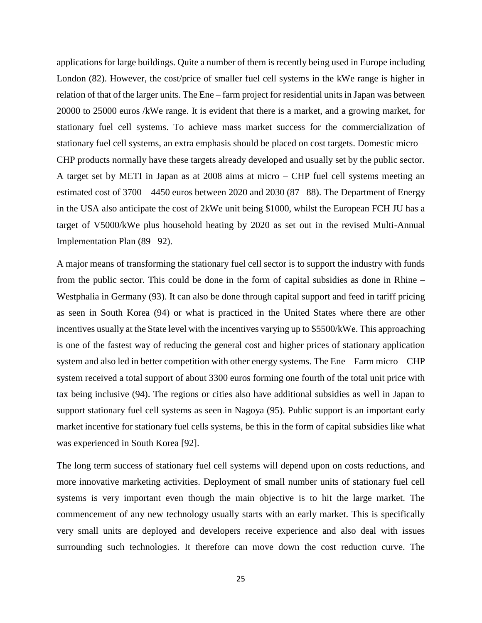applications for large buildings. Quite a number of them is recently being used in Europe including London (82). However, the cost/price of smaller fuel cell systems in the kWe range is higher in relation of that of the larger units. The Ene – farm project for residential units in Japan was between 20000 to 25000 euros /kWe range. It is evident that there is a market, and a growing market, for stationary fuel cell systems. To achieve mass market success for the commercialization of stationary fuel cell systems, an extra emphasis should be placed on cost targets. Domestic micro – CHP products normally have these targets already developed and usually set by the public sector. A target set by METI in Japan as at 2008 aims at micro – CHP fuel cell systems meeting an estimated cost of 3700 – 4450 euros between 2020 and 2030 (87– 88). The Department of Energy in the USA also anticipate the cost of 2kWe unit being \$1000, whilst the European FCH JU has a target of V5000/kWe plus household heating by 2020 as set out in the revised Multi-Annual Implementation Plan (89– 92).

A major means of transforming the stationary fuel cell sector is to support the industry with funds from the public sector. This could be done in the form of capital subsidies as done in Rhine – Westphalia in Germany (93). It can also be done through capital support and feed in tariff pricing as seen in South Korea (94) or what is practiced in the United States where there are other incentives usually at the State level with the incentives varying up to \$5500/kWe. This approaching is one of the fastest way of reducing the general cost and higher prices of stationary application system and also led in better competition with other energy systems. The Ene – Farm micro – CHP system received a total support of about 3300 euros forming one fourth of the total unit price with tax being inclusive (94). The regions or cities also have additional subsidies as well in Japan to support stationary fuel cell systems as seen in Nagoya (95). Public support is an important early market incentive for stationary fuel cells systems, be this in the form of capital subsidies like what was experienced in South Korea [92].

The long term success of stationary fuel cell systems will depend upon on costs reductions, and more innovative marketing activities. Deployment of small number units of stationary fuel cell systems is very important even though the main objective is to hit the large market. The commencement of any new technology usually starts with an early market. This is specifically very small units are deployed and developers receive experience and also deal with issues surrounding such technologies. It therefore can move down the cost reduction curve. The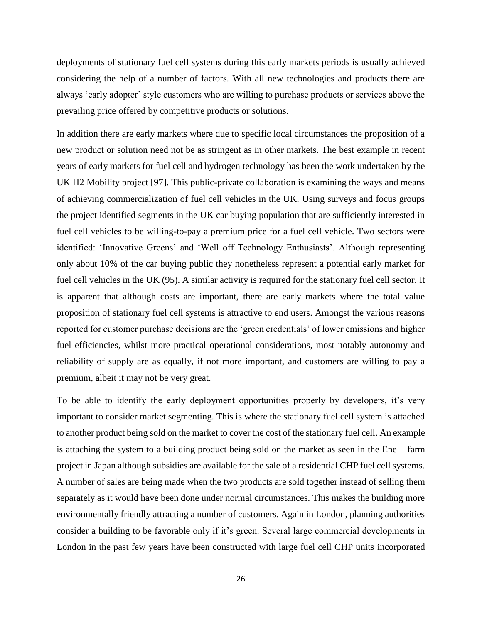deployments of stationary fuel cell systems during this early markets periods is usually achieved considering the help of a number of factors. With all new technologies and products there are always 'early adopter' style customers who are willing to purchase products or services above the prevailing price offered by competitive products or solutions.

In addition there are early markets where due to specific local circumstances the proposition of a new product or solution need not be as stringent as in other markets. The best example in recent years of early markets for fuel cell and hydrogen technology has been the work undertaken by the UK H2 Mobility project [97]. This public-private collaboration is examining the ways and means of achieving commercialization of fuel cell vehicles in the UK. Using surveys and focus groups the project identified segments in the UK car buying population that are sufficiently interested in fuel cell vehicles to be willing-to-pay a premium price for a fuel cell vehicle. Two sectors were identified: 'Innovative Greens' and 'Well off Technology Enthusiasts'. Although representing only about 10% of the car buying public they nonetheless represent a potential early market for fuel cell vehicles in the UK (95). A similar activity is required for the stationary fuel cell sector. It is apparent that although costs are important, there are early markets where the total value proposition of stationary fuel cell systems is attractive to end users. Amongst the various reasons reported for customer purchase decisions are the 'green credentials' of lower emissions and higher fuel efficiencies, whilst more practical operational considerations, most notably autonomy and reliability of supply are as equally, if not more important, and customers are willing to pay a premium, albeit it may not be very great.

To be able to identify the early deployment opportunities properly by developers, it's very important to consider market segmenting. This is where the stationary fuel cell system is attached to another product being sold on the market to cover the cost of the stationary fuel cell. An example is attaching the system to a building product being sold on the market as seen in the Ene – farm project in Japan although subsidies are available for the sale of a residential CHP fuel cell systems. A number of sales are being made when the two products are sold together instead of selling them separately as it would have been done under normal circumstances. This makes the building more environmentally friendly attracting a number of customers. Again in London, planning authorities consider a building to be favorable only if it's green. Several large commercial developments in London in the past few years have been constructed with large fuel cell CHP units incorporated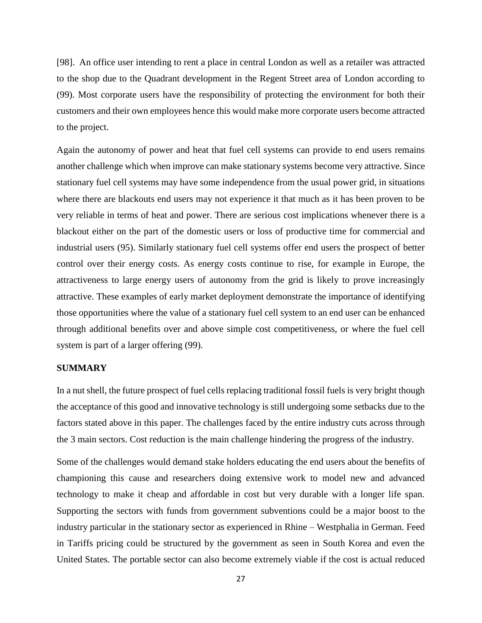[98]. An office user intending to rent a place in central London as well as a retailer was attracted to the shop due to the Quadrant development in the Regent Street area of London according to (99). Most corporate users have the responsibility of protecting the environment for both their customers and their own employees hence this would make more corporate users become attracted to the project.

Again the autonomy of power and heat that fuel cell systems can provide to end users remains another challenge which when improve can make stationary systems become very attractive. Since stationary fuel cell systems may have some independence from the usual power grid, in situations where there are blackouts end users may not experience it that much as it has been proven to be very reliable in terms of heat and power. There are serious cost implications whenever there is a blackout either on the part of the domestic users or loss of productive time for commercial and industrial users (95). Similarly stationary fuel cell systems offer end users the prospect of better control over their energy costs. As energy costs continue to rise, for example in Europe, the attractiveness to large energy users of autonomy from the grid is likely to prove increasingly attractive. These examples of early market deployment demonstrate the importance of identifying those opportunities where the value of a stationary fuel cell system to an end user can be enhanced through additional benefits over and above simple cost competitiveness, or where the fuel cell system is part of a larger offering (99).

#### **SUMMARY**

In a nut shell, the future prospect of fuel cells replacing traditional fossil fuels is very bright though the acceptance of this good and innovative technology is still undergoing some setbacks due to the factors stated above in this paper. The challenges faced by the entire industry cuts across through the 3 main sectors. Cost reduction is the main challenge hindering the progress of the industry.

Some of the challenges would demand stake holders educating the end users about the benefits of championing this cause and researchers doing extensive work to model new and advanced technology to make it cheap and affordable in cost but very durable with a longer life span. Supporting the sectors with funds from government subventions could be a major boost to the industry particular in the stationary sector as experienced in Rhine – Westphalia in German. Feed in Tariffs pricing could be structured by the government as seen in South Korea and even the United States. The portable sector can also become extremely viable if the cost is actual reduced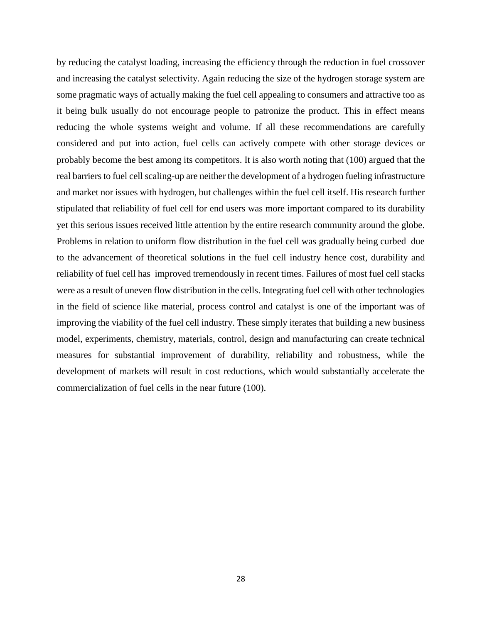by reducing the catalyst loading, increasing the efficiency through the reduction in fuel crossover and increasing the catalyst selectivity. Again reducing the size of the hydrogen storage system are some pragmatic ways of actually making the fuel cell appealing to consumers and attractive too as it being bulk usually do not encourage people to patronize the product. This in effect means reducing the whole systems weight and volume. If all these recommendations are carefully considered and put into action, fuel cells can actively compete with other storage devices or probably become the best among its competitors. It is also worth noting that (100) argued that the real barriers to fuel cell scaling-up are neither the development of a hydrogen fueling infrastructure and market nor issues with hydrogen, but challenges within the fuel cell itself. His research further stipulated that reliability of fuel cell for end users was more important compared to its durability yet this serious issues received little attention by the entire research community around the globe. Problems in relation to uniform flow distribution in the fuel cell was gradually being curbed due to the advancement of theoretical solutions in the fuel cell industry hence cost, durability and reliability of fuel cell has improved tremendously in recent times. Failures of most fuel cell stacks were as a result of uneven flow distribution in the cells. Integrating fuel cell with other technologies in the field of science like material, process control and catalyst is one of the important was of improving the viability of the fuel cell industry. These simply iterates that building a new business model, experiments, chemistry, materials, control, design and manufacturing can create technical measures for substantial improvement of durability, reliability and robustness, while the development of markets will result in cost reductions, which would substantially accelerate the commercialization of fuel cells in the near future (100).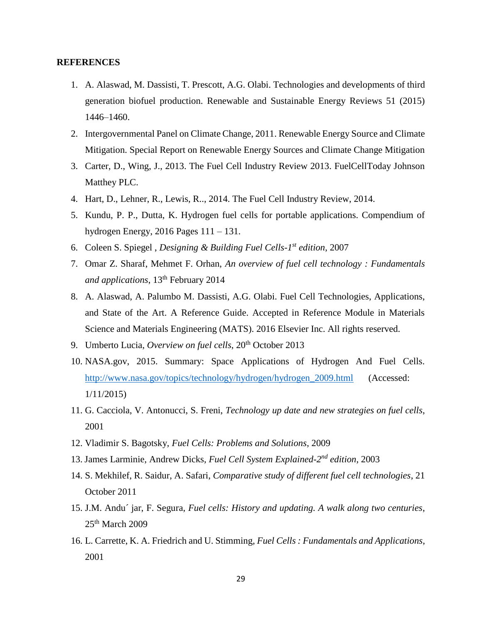#### **REFERENCES**

- 1. A. Alaswad, M. Dassisti, T. Prescott, A.G. Olabi. Technologies and developments of third generation biofuel production. Renewable and Sustainable Energy Reviews 51 (2015) 1446–1460.
- 2. Intergovernmental Panel on Climate Change, 2011. Renewable Energy Source and Climate Mitigation. Special Report on Renewable Energy Sources and Climate Change Mitigation
- 3. Carter, D., Wing, J., 2013. The Fuel Cell Industry Review 2013. FuelCellToday Johnson Matthey PLC.
- 4. Hart, D., Lehner, R., Lewis, R.., 2014. The Fuel Cell Industry Review, 2014.
- 5. Kundu, P. P., Dutta, K. Hydrogen fuel cells for portable applications. Compendium of hydrogen Energy, 2016 Pages 111 – 131.
- 6. Coleen S. Spiegel , *Designing & Building Fuel Cells-1 st edition*, 2007
- 7. Omar Z. Sharaf, Mehmet F. Orhan, *An overview of fuel cell technology : Fundamentals*  and applications, 13<sup>th</sup> February 2014
- 8. A. Alaswad, A. Palumbo M. Dassisti, A.G. Olabi. Fuel Cell Technologies, Applications, and State of the Art. A Reference Guide. Accepted in Reference Module in Materials Science and Materials Engineering (MATS). 2016 Elsevier Inc. All rights reserved.
- 9. Umberto Lucia, Overview on fuel cells, 20<sup>th</sup> October 2013
- 10. NASA.gov, 2015. Summary: Space Applications of Hydrogen And Fuel Cells. [http://www.nasa.gov/topics/technology/hydrogen/hydrogen\\_2009.html](http://www.nasa.gov/topics/technology/hydrogen/hydrogen_2009.html) (Accessed: 1/11/2015)
- 11. G. Cacciola, V. Antonucci, S. Freni, *Technology up date and new strategies on fuel cells*, 2001
- 12. Vladimir S. Bagotsky, *Fuel Cells: Problems and Solutions*, 2009
- 13. James Larminie, Andrew Dicks, Fuel Cell System Explained-2<sup>nd</sup> edition, 2003
- 14. S. Mekhilef, R. Saidur, A. Safari, *Comparative study of different fuel cell technologies*, 21 October 2011
- 15. J.M. Andu´ jar, F. Segura, *Fuel cells: History and updating. A walk along two centuries*, 25th March 2009
- 16. L. Carrette, K. A. Friedrich and U. Stimming, *Fuel Cells : Fundamentals and Applications*, 2001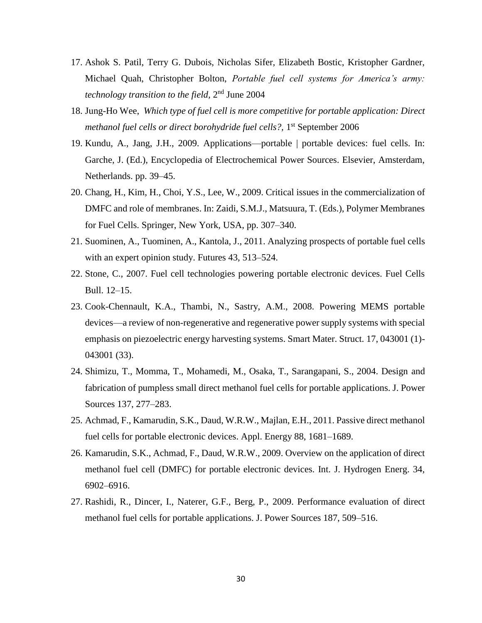- 17. Ashok S. Patil, Terry G. Dubois, Nicholas Sifer, Elizabeth Bostic, Kristopher Gardner, Michael Quah, Christopher Bolton, *Portable fuel cell systems for America's army:*  technology transition to the field, 2<sup>nd</sup> June 2004
- 18. Jung-Ho Wee, *Which type of fuel cell is more competitive for portable application: Direct*  methanol fuel cells or direct borohydride fuel cells?, 1<sup>st</sup> September 2006
- 19. Kundu, A., Jang, J.H., 2009. Applications—portable | portable devices: fuel cells. In: Garche, J. (Ed.), Encyclopedia of Electrochemical Power Sources. Elsevier, Amsterdam, Netherlands. pp. 39–45.
- 20. Chang, H., Kim, H., Choi, Y.S., Lee, W., 2009. Critical issues in the commercialization of DMFC and role of membranes. In: Zaidi, S.M.J., Matsuura, T. (Eds.), Polymer Membranes for Fuel Cells. Springer, New York, USA, pp. 307–340.
- 21. Suominen, A., Tuominen, A., Kantola, J., 2011. Analyzing prospects of portable fuel cells with an expert opinion study. Futures 43, 513–524.
- 22. Stone, C., 2007. Fuel cell technologies powering portable electronic devices. Fuel Cells Bull. 12–15.
- 23. Cook-Chennault, K.A., Thambi, N., Sastry, A.M., 2008. Powering MEMS portable devices—a review of non-regenerative and regenerative power supply systems with special emphasis on piezoelectric energy harvesting systems. Smart Mater. Struct. 17, 043001 (1)- 043001 (33).
- 24. Shimizu, T., Momma, T., Mohamedi, M., Osaka, T., Sarangapani, S., 2004. Design and fabrication of pumpless small direct methanol fuel cells for portable applications. J. Power Sources 137, 277–283.
- 25. Achmad, F., Kamarudin, S.K., Daud, W.R.W., Majlan, E.H., 2011. Passive direct methanol fuel cells for portable electronic devices. Appl. Energy 88, 1681–1689.
- 26. Kamarudin, S.K., Achmad, F., Daud, W.R.W., 2009. Overview on the application of direct methanol fuel cell (DMFC) for portable electronic devices. Int. J. Hydrogen Energ. 34, 6902–6916.
- 27. Rashidi, R., Dincer, I., Naterer, G.F., Berg, P., 2009. Performance evaluation of direct methanol fuel cells for portable applications. J. Power Sources 187, 509–516.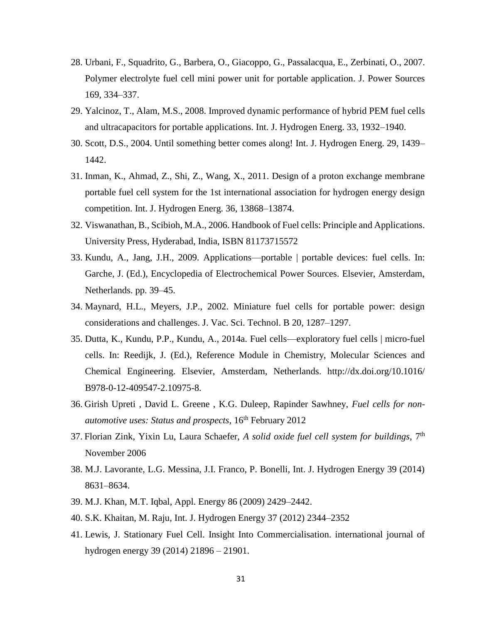- 28. Urbani, F., Squadrito, G., Barbera, O., Giacoppo, G., Passalacqua, E., Zerbinati, O., 2007. Polymer electrolyte fuel cell mini power unit for portable application. J. Power Sources 169, 334–337.
- 29. Yalcinoz, T., Alam, M.S., 2008. Improved dynamic performance of hybrid PEM fuel cells and ultracapacitors for portable applications. Int. J. Hydrogen Energ. 33, 1932–1940.
- 30. Scott, D.S., 2004. Until something better comes along! Int. J. Hydrogen Energ. 29, 1439– 1442.
- 31. Inman, K., Ahmad, Z., Shi, Z., Wang, X., 2011. Design of a proton exchange membrane portable fuel cell system for the 1st international association for hydrogen energy design competition. Int. J. Hydrogen Energ. 36, 13868–13874.
- 32. Viswanathan, B., Scibioh, M.A., 2006. Handbook of Fuel cells: Principle and Applications. University Press, Hyderabad, India, ISBN 81173715572
- 33. Kundu, A., Jang, J.H., 2009. Applications—portable | portable devices: fuel cells. In: Garche, J. (Ed.), Encyclopedia of Electrochemical Power Sources. Elsevier, Amsterdam, Netherlands. pp. 39–45.
- 34. Maynard, H.L., Meyers, J.P., 2002. Miniature fuel cells for portable power: design considerations and challenges. J. Vac. Sci. Technol. B 20, 1287–1297.
- 35. Dutta, K., Kundu, P.P., Kundu, A., 2014a. Fuel cells—exploratory fuel cells | micro-fuel cells. In: Reedijk, J. (Ed.), Reference Module in Chemistry, Molecular Sciences and Chemical Engineering. Elsevier, Amsterdam, Netherlands. http://dx.doi.org/10.1016/ B978-0-12-409547-2.10975-8.
- 36. Girish Upreti , David L. Greene , K.G. Duleep, Rapinder Sawhney, *Fuel cells for nonautomotive uses: Status and prospects*, 16th February 2012
- 37. Florian Zink, Yixin Lu, Laura Schaefer, *A solid oxide fuel cell system for buildings,* 7 th November 2006
- 38. M.J. Lavorante, L.G. Messina, J.I. Franco, P. Bonelli, Int. J. Hydrogen Energy 39 (2014) 8631–8634.
- 39. M.J. Khan, M.T. Iqbal, Appl. Energy 86 (2009) 2429–2442.
- 40. S.K. Khaitan, M. Raju, Int. J. Hydrogen Energy 37 (2012) 2344–2352
- 41. Lewis, J. Stationary Fuel Cell. Insight Into Commercialisation. international journal of hydrogen energy 39 (2014) 21896 – 21901.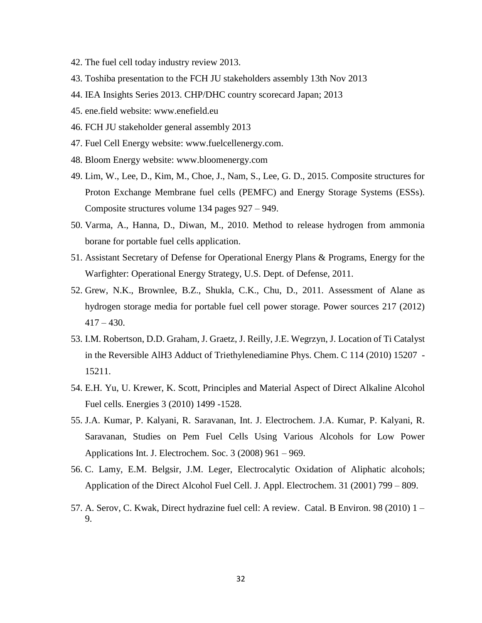- 42. The fuel cell today industry review 2013.
- 43. Toshiba presentation to the FCH JU stakeholders assembly 13th Nov 2013
- 44. IEA Insights Series 2013. CHP/DHC country scorecard Japan; 2013
- 45. ene.field website: [www.enefield.eu](http://www.enefield.eu/)
- 46. FCH JU stakeholder general assembly 2013
- 47. Fuel Cell Energy website: www.fuelcellenergy.com.
- 48. Bloom Energy website: [www.bloomenergy.com](http://www.bloomenergy.com/)
- 49. Lim, W., Lee, D., Kim, M., Choe, J., Nam, S., Lee, G. D., 2015. Composite structures for Proton Exchange Membrane fuel cells (PEMFC) and Energy Storage Systems (ESSs). Composite structures volume 134 pages 927 – 949.
- 50. Varma, A., Hanna, D., Diwan, M., 2010. Method to release hydrogen from ammonia borane for portable fuel cells application.
- 51. Assistant Secretary of Defense for Operational Energy Plans & Programs, Energy for the Warfighter: Operational Energy Strategy, U.S. Dept. of Defense, 2011.
- 52. Grew, N.K., Brownlee, B.Z., Shukla, C.K., Chu, D., 2011. Assessment of Alane as hydrogen storage media for portable fuel cell power storage. Power sources 217 (2012)  $417 - 430.$
- 53. I.M. Robertson, D.D. Graham, J. Graetz, J. Reilly, J.E. Wegrzyn, J. Location of Ti Catalyst in the Reversible AlH3 Adduct of Triethylenediamine Phys. Chem. C 114 (2010) 15207 - 15211.
- 54. E.H. Yu, U. Krewer, K. Scott, Principles and Material Aspect of Direct Alkaline Alcohol Fuel cells. Energies 3 (2010) 1499 -1528.
- 55. J.A. Kumar, P. Kalyani, R. Saravanan, Int. J. Electrochem. J.A. Kumar, P. Kalyani, R. Saravanan, Studies on Pem Fuel Cells Using Various Alcohols for Low Power Applications Int. J. Electrochem. Soc. 3 (2008) 961 – 969.
- 56. C. Lamy, E.M. Belgsir, J.M. Leger, Electrocalytic Oxidation of Aliphatic alcohols; Application of the Direct Alcohol Fuel Cell. J. Appl. Electrochem. 31 (2001) 799 – 809.
- 57. A. Serov, C. Kwak, Direct hydrazine fuel cell: A review. Catal. B Environ. 98 (2010) 1 9.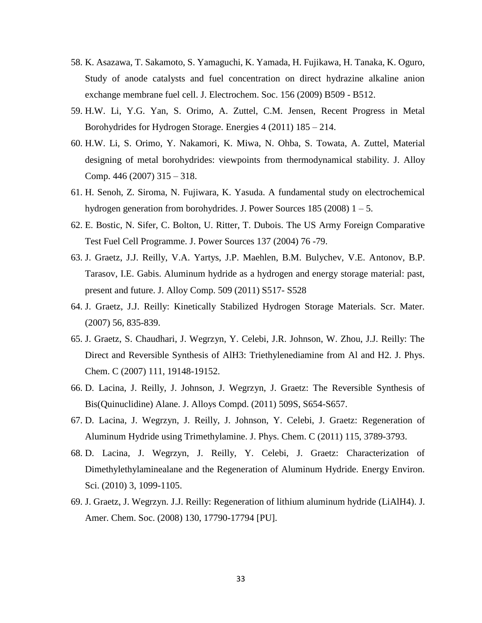- 58. K. Asazawa, T. Sakamoto, S. Yamaguchi, K. Yamada, H. Fujikawa, H. Tanaka, K. Oguro, Study of anode catalysts and fuel concentration on direct hydrazine alkaline anion exchange membrane fuel cell. J. Electrochem. Soc. 156 (2009) B509 - B512.
- 59. H.W. Li, Y.G. Yan, S. Orimo, A. Zuttel, C.M. Jensen, Recent Progress in Metal Borohydrides for Hydrogen Storage. Energies 4 (2011) 185 – 214.
- 60. H.W. Li, S. Orimo, Y. Nakamori, K. Miwa, N. Ohba, S. Towata, A. Zuttel, Material designing of metal borohydrides: viewpoints from thermodynamical stability. J. Alloy Comp. 446 (2007) 315 – 318.
- 61. H. Senoh, Z. Siroma, N. Fujiwara, K. Yasuda. A fundamental study on electrochemical hydrogen generation from borohydrides. J. Power Sources 185 (2008)  $1 - 5$ .
- 62. E. Bostic, N. Sifer, C. Bolton, U. Ritter, T. Dubois. The US Army Foreign Comparative Test Fuel Cell Programme. J. Power Sources 137 (2004) 76 -79.
- 63. J. Graetz, J.J. Reilly, V.A. Yartys, J.P. Maehlen, B.M. Bulychev, V.E. Antonov, B.P. Tarasov, I.E. Gabis. Aluminum hydride as a hydrogen and energy storage material: past, present and future. J. Alloy Comp. 509 (2011) S517- S528
- 64. J. Graetz, J.J. Reilly: Kinetically Stabilized Hydrogen Storage Materials. Scr. Mater. (2007) 56, 835-839.
- 65. J. Graetz, S. Chaudhari, J. Wegrzyn, Y. Celebi, J.R. Johnson, W. Zhou, J.J. Reilly: The Direct and Reversible Synthesis of AlH3: Triethylenediamine from Al and H2. J. Phys. Chem. C (2007) 111, 19148-19152.
- 66. D. Lacina, J. Reilly, J. Johnson, J. Wegrzyn, J. Graetz: The Reversible Synthesis of Bis(Quinuclidine) Alane. J. Alloys Compd. (2011) 509S, S654-S657.
- 67. D. Lacina, J. Wegrzyn, J. Reilly, J. Johnson, Y. Celebi, J. Graetz: Regeneration of Aluminum Hydride using Trimethylamine. J. Phys. Chem. C (2011) 115, 3789-3793.
- 68. D. Lacina, J. Wegrzyn, J. Reilly, Y. Celebi, J. Graetz: Characterization of Dimethylethylaminealane and the Regeneration of Aluminum Hydride. Energy Environ. Sci. (2010) 3, 1099-1105.
- 69. J. Graetz, J. Wegrzyn. J.J. Reilly: Regeneration of lithium aluminum hydride (LiAlH4). J. Amer. Chem. Soc. (2008) 130, 17790-17794 [PU].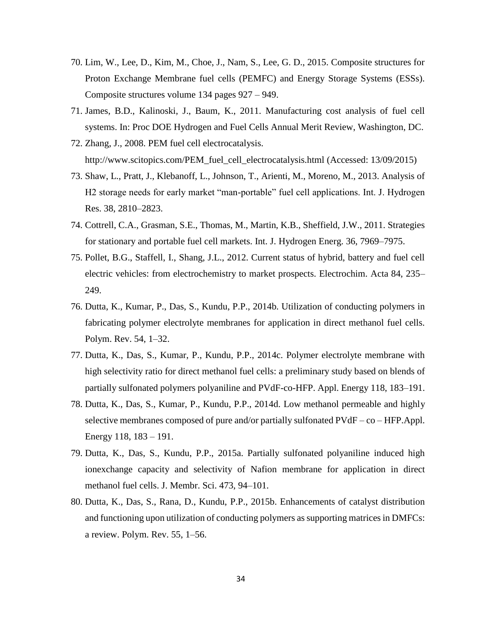- 70. Lim, W., Lee, D., Kim, M., Choe, J., Nam, S., Lee, G. D., 2015. Composite structures for Proton Exchange Membrane fuel cells (PEMFC) and Energy Storage Systems (ESSs). Composite structures volume 134 pages 927 – 949.
- 71. James, B.D., Kalinoski, J., Baum, K., 2011. Manufacturing cost analysis of fuel cell systems. In: Proc DOE Hydrogen and Fuel Cells Annual Merit Review, Washington, DC.
- 72. Zhang, J., 2008. PEM fuel cell electrocatalysis. [http://www.scitopics.com/PEM\\_fuel\\_cell\\_electrocatalysis.html](http://www.scitopics.com/PEM_fuel_cell_electrocatalysis.html) (Accessed: 13/09/2015)
- 73. Shaw, L., Pratt, J., Klebanoff, L., Johnson, T., Arienti, M., Moreno, M., 2013. Analysis of H2 storage needs for early market "man-portable" fuel cell applications. Int. J. Hydrogen Res. 38, 2810–2823.
- 74. Cottrell, C.A., Grasman, S.E., Thomas, M., Martin, K.B., Sheffield, J.W., 2011. Strategies for stationary and portable fuel cell markets. Int. J. Hydrogen Energ. 36, 7969–7975.
- 75. Pollet, B.G., Staffell, I., Shang, J.L., 2012. Current status of hybrid, battery and fuel cell electric vehicles: from electrochemistry to market prospects. Electrochim. Acta 84, 235– 249.
- 76. Dutta, K., Kumar, P., Das, S., Kundu, P.P., 2014b. Utilization of conducting polymers in fabricating polymer electrolyte membranes for application in direct methanol fuel cells. Polym. Rev. 54, 1–32.
- 77. Dutta, K., Das, S., Kumar, P., Kundu, P.P., 2014c. Polymer electrolyte membrane with high selectivity ratio for direct methanol fuel cells: a preliminary study based on blends of partially sulfonated polymers polyaniline and PVdF-co-HFP. Appl. Energy 118, 183–191.
- 78. Dutta, K., Das, S., Kumar, P., Kundu, P.P., 2014d. Low methanol permeable and highly selective membranes composed of pure and/or partially sulfonated  $PVdF - co - HFP.$ Appl. Energy 118, 183 – 191.
- 79. Dutta, K., Das, S., Kundu, P.P., 2015a. Partially sulfonated polyaniline induced high ionexchange capacity and selectivity of Nafion membrane for application in direct methanol fuel cells. J. Membr. Sci. 473, 94–101.
- 80. Dutta, K., Das, S., Rana, D., Kundu, P.P., 2015b. Enhancements of catalyst distribution and functioning upon utilization of conducting polymers as supporting matrices in DMFCs: a review. Polym. Rev. 55, 1–56.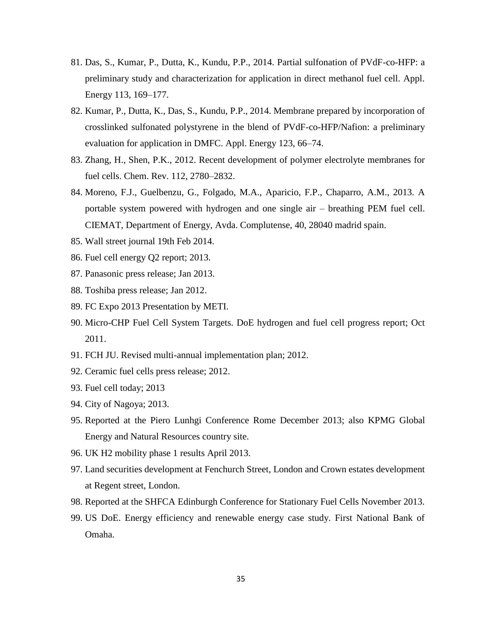- 81. Das, S., Kumar, P., Dutta, K., Kundu, P.P., 2014. Partial sulfonation of PVdF-co-HFP: a preliminary study and characterization for application in direct methanol fuel cell. Appl. Energy 113, 169–177.
- 82. Kumar, P., Dutta, K., Das, S., Kundu, P.P., 2014. Membrane prepared by incorporation of crosslinked sulfonated polystyrene in the blend of PVdF-co-HFP/Nafion: a preliminary evaluation for application in DMFC. Appl. Energy 123, 66–74.
- 83. Zhang, H., Shen, P.K., 2012. Recent development of polymer electrolyte membranes for fuel cells. Chem. Rev. 112, 2780–2832.
- 84. Moreno, F.J., Guelbenzu, G., Folgado, M.A., Aparicio, F.P., Chaparro, A.M., 2013. A portable system powered with hydrogen and one single air – breathing PEM fuel cell. CIEMAT, Department of Energy, Avda. Complutense, 40, 28040 madrid spain.
- 85. Wall street journal 19th Feb 2014.
- 86. Fuel cell energy Q2 report; 2013.
- 87. Panasonic press release; Jan 2013.
- 88. Toshiba press release; Jan 2012.
- 89. FC Expo 2013 Presentation by METI.
- 90. Micro-CHP Fuel Cell System Targets. DoE hydrogen and fuel cell progress report; Oct 2011.
- 91. FCH JU. Revised multi-annual implementation plan; 2012.
- 92. Ceramic fuel cells press release; 2012.
- 93. Fuel cell today; 2013
- 94. City of Nagoya; 2013.
- 95. Reported at the Piero Lunhgi Conference Rome December 2013; also KPMG Global Energy and Natural Resources country site.
- 96. UK H2 mobility phase 1 results April 2013.
- 97. Land securities development at Fenchurch Street, London and Crown estates development at Regent street, London.
- 98. Reported at the SHFCA Edinburgh Conference for Stationary Fuel Cells November 2013.
- 99. US DoE. Energy efficiency and renewable energy case study. First National Bank of Omaha.